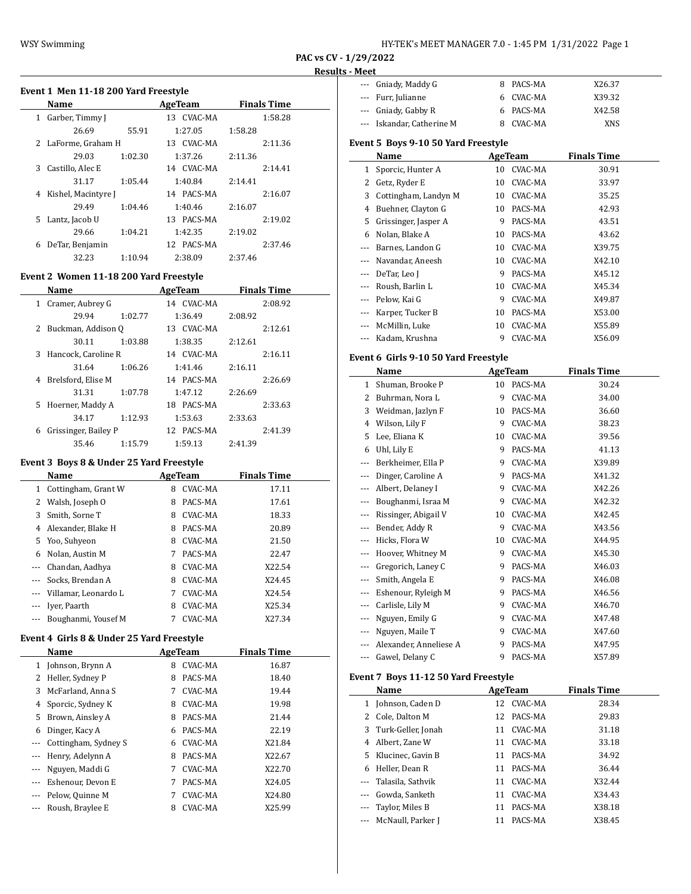$\overline{\phantom{a}}$ 

 $\frac{1}{2}$ 

# **Event 1 Men 11-18 200 Yard Freestyle Name AgeTeam Finals Time** 1 Garber, Timmy J 13 CVAC-MA 1:58.28 26.69 55.91 1:27.05 1:58.28 2 LaForme, Graham H 13 CVAC-MA 2:11.36 29.03 1:02.30 1:37.26 2:11.36 3 Castillo, Alec E 14 CVAC-MA 2:14.41 31.17 1:05.44 1:40.84 2:14.41 4 Kishel, Macintyre J 14 PACS-MA 2:16.07 29.49 1:04.46 1:40.46 2:16.07 5 Lantz, Jacob U 13 PACS-MA 2:19.02 29.66 1:04.21 1:42.35 2:19.02 6 DeTar, Benjamin 12 PACS-MA 2:37.46 32.23 1:10.94 2:38.09 2:37.46

#### **Event 2 Women 11-18 200 Yard Freestyle**

|    | <b>Name</b>          |         | AgeTeam    | <b>Finals Time</b> |  |
|----|----------------------|---------|------------|--------------------|--|
| 1  | Cramer, Aubrey G     |         | 14 CVAC-MA | 2:08.92            |  |
|    | 29.94                | 1:02.77 | 1:36.49    | 2:08.92            |  |
|    | 2 Buckman, Addison Q |         | 13 CVAC-MA | 2:12.61            |  |
|    | 30.11                | 1:03.88 | 1:38.35    | 2:12.61            |  |
| 3  | Hancock, Caroline R  |         | 14 CVAC-MA | 2:16.11            |  |
|    | 31.64                | 1:06.26 | 1:41.46    | 2:16.11            |  |
|    | 4 Brelsford, Elise M |         | 14 PACS-MA | 2:26.69            |  |
|    | 31.31                | 1:07.78 | 1:47.12    | 2:26.69            |  |
| 5. | Hoerner, Maddy A     |         | 18 PACS-MA | 2:33.63            |  |
|    | 34.17                | 1:12.93 | 1:53.63    | 2:33.63            |  |
| 6  | Grissinger, Bailey P |         | 12 PACS-MA | 2:41.39            |  |
|    | 35.46                | 1:15.79 | 1:59.13    | 2:41.39            |  |

#### **Event 3 Boys 8 & Under 25 Yard Freestyle**

|     | Name                     |   | AgeTeam        | <b>Finals Time</b> |
|-----|--------------------------|---|----------------|--------------------|
|     | 1 Cottingham, Grant W    | 8 | <b>CVAC-MA</b> | 17.11              |
| 2   | Walsh, Joseph O          | 8 | PACS-MA        | 17.61              |
| 3   | Smith, Sorne T           | 8 | CVAC-MA        | 18.33              |
| 4   | Alexander, Blake H       | 8 | PACS-MA        | 20.89              |
| 5.  | Yoo, Suhyeon             | 8 | CVAC-MA        | 21.50              |
| 6   | Nolan, Austin M          | 7 | PACS-MA        | 22.47              |
| --- | Chandan, Aadhya          | 8 | CVAC-MA        | X22.54             |
|     | Socks. Brendan A         | 8 | CVAC-MA        | X24.45             |
|     | --- Villamar, Leonardo L | 7 | CVAC-MA        | X24.54             |
|     | Iver, Paarth             | 8 | CVAC-MA        | X25.34             |
|     | Boughanmi, Yousef M      |   | <b>CVAC-MA</b> | X27.34             |

#### **Event 4 Girls 8 & Under 25 Yard Freestyle**

|                          | Name                 |   | AgeTeam        | <b>Finals Time</b> |  |
|--------------------------|----------------------|---|----------------|--------------------|--|
| 1                        | Johnson, Brynn A     | 8 | <b>CVAC-MA</b> | 16.87              |  |
| 2                        | Heller, Sydney P     | 8 | PACS-MA        | 18.40              |  |
| 3                        | McFarland, Anna S    | 7 | <b>CVAC-MA</b> | 19.44              |  |
| 4                        | Sporcic, Sydney K    | 8 | CVAC-MA        | 19.98              |  |
| 5                        | Brown, Ainsley A     | 8 | PACS-MA        | 21.44              |  |
| 6                        | Dinger, Kacy A       | 6 | PACS-MA        | 22.19              |  |
| ---                      | Cottingham, Sydney S | 6 | CVAC-MA        | X21.84             |  |
| ---                      | Henry, Adelynn A     | 8 | PACS-MA        | X22.67             |  |
| $\cdots$                 | Nguyen, Maddi G      | 7 | CVAC-MA        | X22.70             |  |
| ---                      | Eshenour, Devon E    | 7 | PACS-MA        | X24.05             |  |
| $\overline{\phantom{a}}$ | Pelow, Quinne M      | 7 | CVAC-MA        | X24.80             |  |
| $\cdots$                 | Roush, Braylee E     | 8 | CVAC-MA        | X25.99             |  |

| --- Gniady, Maddy G       | 8 PACS-MA | X26.37 |  |
|---------------------------|-----------|--------|--|
| --- Furr, Julianne        | 6 CVAC-MA | X39.32 |  |
| --- Gniady, Gabby R       | 6 PACS-MA | X42.58 |  |
| --- Iskandar, Catherine M | CVAC-MA   | XNS    |  |

#### **Event 5 Boys 9-10 50 Yard Freestyle**

|          | Name                 |    | AgeTeam | <b>Finals Time</b> |  |
|----------|----------------------|----|---------|--------------------|--|
| 1        | Sporcic, Hunter A    | 10 | CVAC-MA | 30.91              |  |
| 2        | Getz, Ryder E        | 10 | CVAC-MA | 33.97              |  |
| 3        | Cottingham, Landyn M | 10 | CVAC-MA | 35.25              |  |
| 4        | Buehner, Clayton G   | 10 | PACS-MA | 42.93              |  |
| 5.       | Grissinger, Jasper A | 9  | PACS-MA | 43.51              |  |
| 6        | Nolan, Blake A       | 10 | PACS-MA | 43.62              |  |
|          | Barnes, Landon G     | 10 | CVAC-MA | X39.75             |  |
|          | Navandar, Aneesh     | 10 | CVAC-MA | X42.10             |  |
|          | DeTar, Leo J         | 9  | PACS-MA | X45.12             |  |
|          | Roush, Barlin L      | 10 | CVAC-MA | X45.34             |  |
|          | Pelow, Kai G         | 9  | CVAC-MA | X49.87             |  |
|          | Karper, Tucker B     | 10 | PACS-MA | X53.00             |  |
| $\cdots$ | McMillin, Luke       | 10 | CVAC-MA | X55.89             |  |
|          | Kadam. Krushna       | 9  | CVAC-MA | X56.09             |  |

#### **Event 6 Girls 9-10 50 Yard Freestyle**

|       | Name                   | AgeTeam |         | <b>Finals Time</b> |  |
|-------|------------------------|---------|---------|--------------------|--|
| 1     | Shuman, Brooke P       | 10      | PACS-MA | 30.24              |  |
| 2     | Buhrman, Nora L        | 9       | CVAC-MA | 34.00              |  |
| 3     | Weidman, Jazlyn F      | 10      | PACS-MA | 36.60              |  |
| 4     | Wilson, Lily F         | 9       | CVAC-MA | 38.23              |  |
| 5     | Lee, Eliana K          | 10      | CVAC-MA | 39.56              |  |
| 6     | Uhl, Lily E            | 9       | PACS-MA | 41.13              |  |
| ---   | Berkheimer, Ella P     | 9       | CVAC-MA | X39.89             |  |
| ---   | Dinger, Caroline A     | 9       | PACS-MA | X41.32             |  |
| ---   | Albert, Delaney I      | 9       | CVAC-MA | X42.26             |  |
| ---   | Boughanmi, Israa M     | 9       | CVAC-MA | X42.32             |  |
| $---$ | Rissinger, Abigail V   | 10      | CVAC-MA | X42.45             |  |
| ---   | Bender, Addy R         | 9       | CVAC-MA | X43.56             |  |
| ---   | Hicks, Flora W         | 10      | CVAC-MA | X44.95             |  |
| ---   | Hoover, Whitney M      | 9       | CVAC-MA | X45.30             |  |
| ---   | Gregorich, Laney C     | 9       | PACS-MA | X46.03             |  |
| ---   | Smith, Angela E        | 9       | PACS-MA | X46.08             |  |
| ---   | Eshenour, Ryleigh M    | 9       | PACS-MA | X46.56             |  |
| ---   | Carlisle, Lily M       | 9       | CVAC-MA | X46.70             |  |
| ---   | Nguyen, Emily G        | 9       | CVAC-MA | X47.48             |  |
| ---   | Nguyen, Maile T        | 9       | CVAC-MA | X47.60             |  |
|       | Alexander, Anneliese A | 9       | PACS-MA | X47.95             |  |
| ---   | Gawel, Delany C        | 9       | PACS-MA | X57.89             |  |

#### **Event 7 Boys 11-12 50 Yard Freestyle**

|              | Name                  |    | AgeTeam | <b>Finals Time</b> |
|--------------|-----------------------|----|---------|--------------------|
| $\mathbf{1}$ | Johnson, Caden D      | 12 | CVAC-MA | 28.34              |
|              | 2 Cole, Dalton M      | 12 | PACS-MA | 29.83              |
|              | 3 Turk-Geller, Jonah  | 11 | CVAC-MA | 31.18              |
| 4            | Albert, Zane W        | 11 | CVAC-MA | 33.18              |
|              | 5 Klucinec, Gavin B   | 11 | PACS-MA | 34.92              |
| 6            | Heller, Dean R        | 11 | PACS-MA | 36.44              |
|              | Talasila, Sathvik     | 11 | CVAC-MA | X32.44             |
| $\cdots$     | Gowda, Sanketh        | 11 | CVAC-MA | X34.43             |
|              | Taylor, Miles B       | 11 | PACS-MA | X38.18             |
|              | --- McNaull, Parker J | 11 | PACS-MA | X38.45             |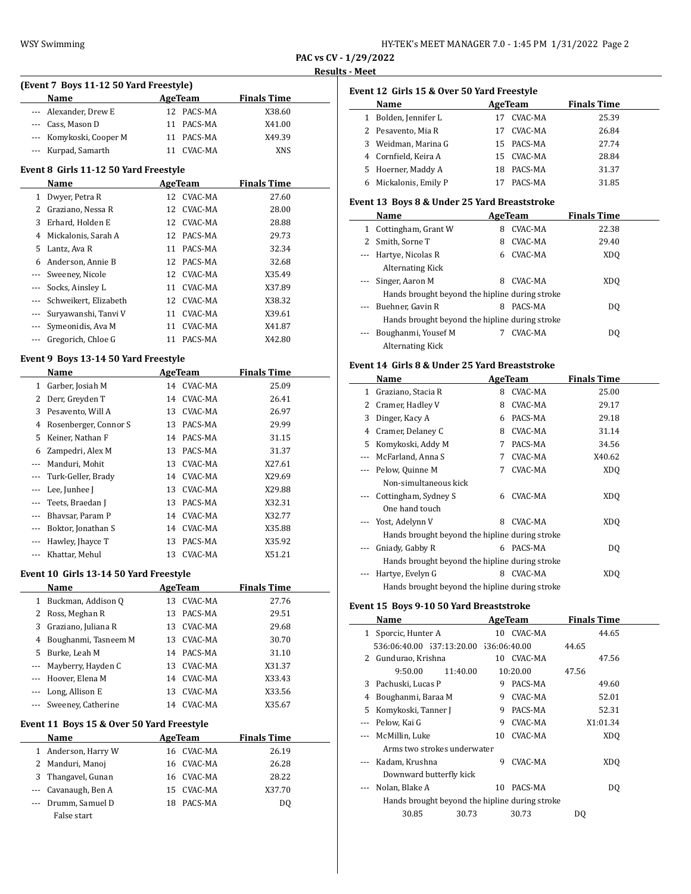| HY-TEK's MEET MANAGER 7.0 - 1:45 PM 1/31/2022 Page 2 |  |  |  |
|------------------------------------------------------|--|--|--|
|------------------------------------------------------|--|--|--|

**PAC vs CV - 1/29/2022**

#### **Results - Meet**

| (Event 7 Boys 11-12 50 Yard Freestyle) |               |                    |  |  |  |
|----------------------------------------|---------------|--------------------|--|--|--|
| <b>Name</b>                            | AgeTeam       | <b>Finals Time</b> |  |  |  |
| --- Alexander, Drew E                  | 12 PACS-MA    | X38.60             |  |  |  |
| --- Cass, Mason D                      | 11 PACS-MA    | X41.00             |  |  |  |
| --- Komykoski, Cooper M                | 11 PACS-MA    | X49.39             |  |  |  |
| --- Kurpad, Samarth                    | CVAC-MA<br>11 | <b>XNS</b>         |  |  |  |

#### **Event 8 Girls 11-12 50 Yard Freestyle**

|                      | Name                  |    | AgeTeam    | <b>Finals Time</b> |
|----------------------|-----------------------|----|------------|--------------------|
| $\mathbf{1}$         | Dwyer, Petra R        |    | 12 CVAC-MA | 27.60              |
| $\mathbf{Z}$         | Graziano, Nessa R     |    | 12 CVAC-MA | 28.00              |
| 3                    | Erhard, Holden E      |    | 12 CVAC-MA | 28.88              |
| 4                    | Mickalonis, Sarah A   | 12 | PACS-MA    | 29.73              |
| 5.                   | Lantz, Ava R          | 11 | PACS-MA    | 32.34              |
| 6                    | Anderson, Annie B     | 12 | PACS-MA    | 32.68              |
|                      | Sweeney, Nicole       |    | 12 CVAC-MA | X35.49             |
|                      | Socks, Ainsley L      |    | 11 CVAC-MA | X37.89             |
|                      | Schweikert, Elizabeth |    | 12 CVAC-MA | X38.32             |
| $\sim$ $\sim$ $\sim$ | Suryawanshi, Tanyi V  | 11 | CVAC-MA    | X39.61             |
|                      | Symeonidis, Ava M     | 11 | CVAC-MA    | X41.87             |
|                      | Gregorich, Chloe G    | 11 | PACS-MA    | X42.80             |

# **Event 9 Boys 13-14 50 Yard Freestyle**

|          | Name                  |    | <b>AgeTeam</b> | <b>Finals Time</b> |  |
|----------|-----------------------|----|----------------|--------------------|--|
| 1        | Garber, Josiah M      | 14 | CVAC-MA        | 25.09              |  |
| 2        | Derr, Greyden T       | 14 | CVAC-MA        | 26.41              |  |
| 3        | Pesavento, Will A     | 13 | CVAC-MA        | 26.97              |  |
| 4        | Rosenberger, Connor S | 13 | PACS-MA        | 29.99              |  |
| 5        | Keiner, Nathan F      | 14 | PACS-MA        | 31.15              |  |
| 6        | Zampedri, Alex M      | 13 | PACS-MA        | 31.37              |  |
|          | Manduri, Mohit        | 13 | CVAC-MA        | X27.61             |  |
|          | Turk-Geller, Brady    | 14 | CVAC-MA        | X29.69             |  |
|          | Lee, Junhee J         | 13 | CVAC-MA        | X29.88             |  |
|          | Teets, Braedan J      | 13 | PACS-MA        | X32.31             |  |
|          | Bhaysar, Param P      | 14 | CVAC-MA        | X32.77             |  |
|          | Boktor, Jonathan S    | 14 | CVAC-MA        | X35.88             |  |
| $\cdots$ | Hawley, Jhayce T      | 13 | PACS-MA        | X35.92             |  |
|          | Khattar, Mehul        | 13 | CVAC-MA        | X51.21             |  |

#### **Event 10 Girls 13-14 50 Yard Freestyle**

|              | <b>Name</b>            | AgeTeam       | <b>Finals Time</b> |
|--------------|------------------------|---------------|--------------------|
| $\mathbf{1}$ | Buckman, Addison Q     | CVAC-MA<br>13 | 27.76              |
|              | 2 Ross, Meghan R       | PACS-MA<br>13 | 29.51              |
|              | 3 Graziano, Juliana R  | CVAC-MA<br>13 | 29.68              |
| 4            | Boughanmi, Tasneem M   | CVAC-MA<br>13 | 30.70              |
|              | 5 Burke, Leah M        | PACS-MA<br>14 | 31.10              |
|              | --- Mayberry, Hayden C | CVAC-MA<br>13 | X31.37             |
|              | --- Hoover, Elena M    | CVAC-MA<br>14 | X33.43             |
|              | --- Long, Allison E    | CVAC-MA<br>13 | X33.56             |
|              | --- Sweeney, Catherine | CVAC-MA<br>14 | X35.67             |
|              |                        |               |                    |

#### **Event 11 Boys 15 & Over 50 Yard Freestyle**

| Name |                      |     | AgeTeam    | <b>Finals Time</b> |  |
|------|----------------------|-----|------------|--------------------|--|
|      | 1 Anderson, Harry W  |     | 16 CVAC-MA | 26.19              |  |
|      | 2 Manduri, Manoj     |     | 16 CVAC-MA | 26.28              |  |
|      | 3 Thangavel, Gunan   |     | 16 CVAC-MA | 28.22              |  |
|      | --- Cavanaugh, Ben A |     | 15 CVAC-MA | X37.70             |  |
|      | --- Drumm, Samuel D  | 18. | PACS-MA    | DO.                |  |
|      | False start          |     |            |                    |  |

| Event 12 Girls 15 & Over 50 Yard Freestyle |                      |     |            |                    |  |  |  |
|--------------------------------------------|----------------------|-----|------------|--------------------|--|--|--|
|                                            | Name                 |     | AgeTeam    | <b>Finals Time</b> |  |  |  |
| 1                                          | Bolden, Jennifer L   | 17  | CVAC-MA    | 25.39              |  |  |  |
|                                            | 2 Pesavento, Mia R   | 17  | CVAC-MA    | 26.84              |  |  |  |
| 3.                                         | Weidman, Marina G    |     | 15 PACS-MA | 27.74              |  |  |  |
|                                            | 4 Cornfield, Keira A | 15. | CVAC-MA    | 28.84              |  |  |  |
|                                            | 5 Hoerner, Maddy A   | 18  | PACS-MA    | 31.37              |  |  |  |
| 6                                          | Mickalonis, Emily P  |     | PACS-MA    | 31.85              |  |  |  |

#### **Event 13 Boys 8 & Under 25 Yard Breaststroke**

|          | Name                                           | AgeTeam |         | <b>Finals Time</b> |  |  |  |
|----------|------------------------------------------------|---------|---------|--------------------|--|--|--|
| 1        | Cottingham, Grant W                            | 8       | CVAC-MA | 22.38              |  |  |  |
|          | Smith, Sorne T                                 | 8       | CVAC-MA | 29.40              |  |  |  |
| $\cdots$ | Hartye, Nicolas R                              | 6       | CVAC-MA | XD <sub>0</sub>    |  |  |  |
|          | Alternating Kick                               |         |         |                    |  |  |  |
|          | --- Singer, Aaron M                            | 8       | CVAC-MA | XDO                |  |  |  |
|          | Hands brought beyond the hipline during stroke |         |         |                    |  |  |  |
| $\cdots$ | Buehner, Gavin R                               | 8       | PACS-MA | DO.                |  |  |  |
|          | Hands brought beyond the hipline during stroke |         |         |                    |  |  |  |
|          | Boughanmi, Yousef M                            |         | CVAC-MA | DO.                |  |  |  |
|          | Alternating Kick                               |         |         |                    |  |  |  |

#### **Event 14 Girls 8 & Under 25 Yard Breaststroke**

|     | Name                                           |   | AgeTeam | <b>Finals Time</b> |  |  |  |
|-----|------------------------------------------------|---|---------|--------------------|--|--|--|
| 1   | Graziano, Stacia R                             | 8 | CVAC-MA | 25.00              |  |  |  |
| 2   | Cramer, Hadley V                               | 8 | CVAC-MA | 29.17              |  |  |  |
| 3   | Dinger, Kacy A                                 | 6 | PACS-MA | 29.18              |  |  |  |
| 4   | Cramer, Delaney C                              | 8 | CVAC-MA | 31.14              |  |  |  |
| 5   | Komykoski, Addy M                              | 7 | PACS-MA | 34.56              |  |  |  |
| --- | McFarland, Anna S                              | 7 | CVAC-MA | X40.62             |  |  |  |
|     | Pelow, Quinne M                                | 7 | CVAC-MA | XD <sub>O</sub>    |  |  |  |
|     | Non-simultaneous kick                          |   |         |                    |  |  |  |
|     | Cottingham, Sydney S                           | 6 | CVAC-MA | XDO                |  |  |  |
|     | One hand touch                                 |   |         |                    |  |  |  |
|     | Yost, Adelynn V                                | 8 | CVAC-MA | XDO                |  |  |  |
|     | Hands brought beyond the hipline during stroke |   |         |                    |  |  |  |
| --- | Gniady, Gabby R                                | 6 | PACS-MA | DQ                 |  |  |  |
|     | Hands brought beyond the hipline during stroke |   |         |                    |  |  |  |
|     | Hartye, Evelyn G                               | 8 | CVAC-MA | XDO                |  |  |  |
|     | Hands brought beyond the hipline during stroke |   |         |                    |  |  |  |

# **Event 15 Boys 9-10 50 Yard Breaststroke**

| Name |                                                |          | AgeTeam    | <b>Finals Time</b> |  |
|------|------------------------------------------------|----------|------------|--------------------|--|
|      | 1 Sporcic, Hunter A                            |          | 10 CVAC-MA | 44.65              |  |
|      | 536:06:40.00 537:13:20.00 536:06:40.00         |          |            | 44.65              |  |
|      | 2 Gundurao, Krishna                            |          | 10 CVAC-MA | 47.56              |  |
|      | 9:50.00                                        | 11:40.00 | 10:20.00   | 47.56              |  |
| 3    | Pachuski, Lucas P                              | 9        | PACS-MA    | 49.60              |  |
| 4    | Boughanmi, Baraa M                             | 9        | CVAC-MA    | 52.01              |  |
| 5.   | Komykoski, Tanner J                            | 9        | PACS-MA    | 52.31              |  |
|      | Pelow, Kai G                                   | 9        | CVAC-MA    | X1:01.34           |  |
|      | McMillin, Luke                                 | 10       | CVAC-MA    | XDO.               |  |
|      | Arms two strokes underwater                    |          |            |                    |  |
|      | Kadam, Krushna                                 | 9        | CVAC-MA    | XDO.               |  |
|      | Downward butterfly kick                        |          |            |                    |  |
|      | Nolan, Blake A                                 | 10       | PACS-MA    | DO.                |  |
|      | Hands brought beyond the hipline during stroke |          |            |                    |  |
|      | 30.85                                          | 30.73    | 30.73      | DO                 |  |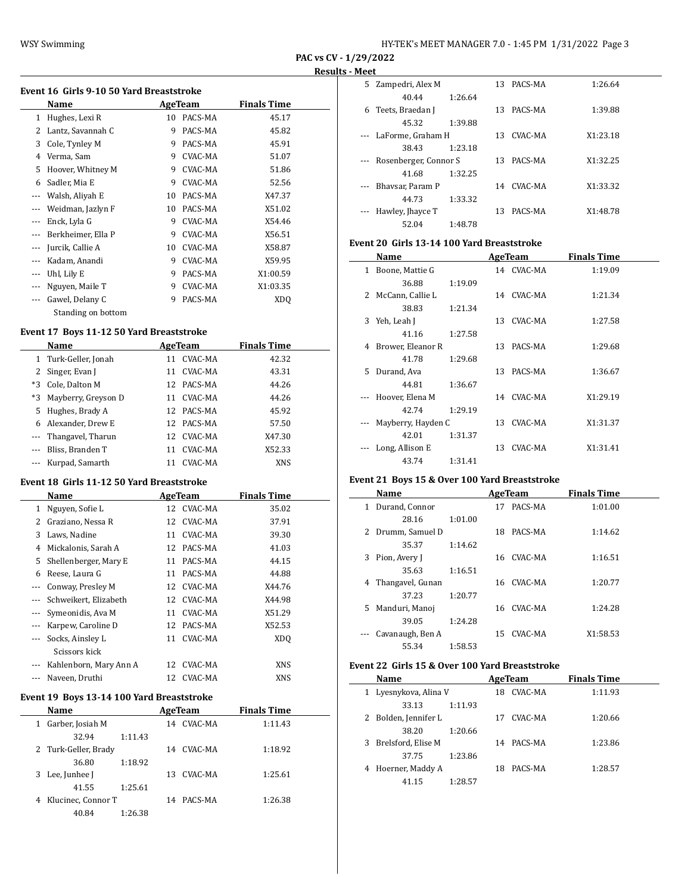| HY-TEK's MEET MANAGER 7.0 - 1:45 PM 1/31/2022 Page 3 |
|------------------------------------------------------|
|------------------------------------------------------|

**PAC vs CV - 1/29/2022**

#### **Results - Meet**

| Hughes, Lexi R<br>PACS-MA<br>1<br>10<br>PACS-MA<br>Lantz, Savannah C<br>9<br>2<br>Cole, Tynley M<br>PACS-MA<br>3<br>9<br>CVAC-MA<br>Verma, Sam<br>9<br>4<br>CVAC-MA<br>5<br>Hoover, Whitney M<br>9<br>Sadler, Mia E<br>CVAC-MA<br>9<br>6<br>Walsh, Aliyah E<br>PACS-MA<br>10<br>$\cdots$<br>Weidman, Jazlyn F<br>PACS-MA<br>10<br>$---$<br>Enck, Lyla G<br>CVAC-MA<br>9<br>Berkheimer, Ella P<br>CVAC-MA<br>9<br>$- - -$<br>Jurcik, Callie A<br>CVAC-MA<br>10<br>---<br>Kadam, Anandi<br>CVAC-MA<br>9<br>$---$<br>PACS-MA<br>Uhl, Lily E<br>9<br>$---$<br>CVAC-MA<br>Nguyen, Maile T<br>9<br>$---$<br>9<br>$\overline{a}$ | 45.17<br>45.82<br>45.91<br>51.07<br>51.86 |
|---------------------------------------------------------------------------------------------------------------------------------------------------------------------------------------------------------------------------------------------------------------------------------------------------------------------------------------------------------------------------------------------------------------------------------------------------------------------------------------------------------------------------------------------------------------------------------------------------------------------------|-------------------------------------------|
|                                                                                                                                                                                                                                                                                                                                                                                                                                                                                                                                                                                                                           |                                           |
|                                                                                                                                                                                                                                                                                                                                                                                                                                                                                                                                                                                                                           |                                           |
|                                                                                                                                                                                                                                                                                                                                                                                                                                                                                                                                                                                                                           |                                           |
|                                                                                                                                                                                                                                                                                                                                                                                                                                                                                                                                                                                                                           |                                           |
|                                                                                                                                                                                                                                                                                                                                                                                                                                                                                                                                                                                                                           |                                           |
|                                                                                                                                                                                                                                                                                                                                                                                                                                                                                                                                                                                                                           | 52.56                                     |
|                                                                                                                                                                                                                                                                                                                                                                                                                                                                                                                                                                                                                           | X47.37                                    |
|                                                                                                                                                                                                                                                                                                                                                                                                                                                                                                                                                                                                                           | X51.02                                    |
|                                                                                                                                                                                                                                                                                                                                                                                                                                                                                                                                                                                                                           | X54.46                                    |
|                                                                                                                                                                                                                                                                                                                                                                                                                                                                                                                                                                                                                           | X56.51                                    |
|                                                                                                                                                                                                                                                                                                                                                                                                                                                                                                                                                                                                                           | X58.87                                    |
|                                                                                                                                                                                                                                                                                                                                                                                                                                                                                                                                                                                                                           | X59.95                                    |
|                                                                                                                                                                                                                                                                                                                                                                                                                                                                                                                                                                                                                           | X1:00.59                                  |
|                                                                                                                                                                                                                                                                                                                                                                                                                                                                                                                                                                                                                           | X1:03.35                                  |
|                                                                                                                                                                                                                                                                                                                                                                                                                                                                                                                                                                                                                           | PACS-MA<br>Gawel, Delany C<br>XDO         |

# **Event 17 Boys 11-12 50 Yard Breaststroke**

| Name |                        |    | AgeTeam    | <b>Finals Time</b> |  |
|------|------------------------|----|------------|--------------------|--|
|      | 1 Turk-Geller, Jonah   | 11 | CVAC-MA    | 42.32              |  |
|      | 2 Singer, Evan J       | 11 | CVAC-MA    | 43.31              |  |
|      | *3 Cole, Dalton M      |    | 12 PACS-MA | 44.26              |  |
|      | *3 Mayberry, Greyson D | 11 | CVAC-MA    | 44.26              |  |
|      | 5 Hughes, Brady A      | 12 | PACS-MA    | 45.92              |  |
|      | 6 Alexander, Drew E    | 12 | PACS-MA    | 57.50              |  |
|      | --- Thangavel, Tharun  | 12 | CVAC-MA    | X47.30             |  |
|      | Bliss, Branden T       | 11 | CVAC-MA    | X52.33             |  |
|      | Kurpad, Samarth        | 11 | CVAC-MA    | <b>XNS</b>         |  |

#### **Event 18 Girls 11-12 50 Yard Breaststroke**

|          | Name                   |    | AgeTeam | <b>Finals Time</b> |  |
|----------|------------------------|----|---------|--------------------|--|
| 1        | Nguyen, Sofie L        | 12 | CVAC-MA | 35.02              |  |
| 2        | Graziano, Nessa R      | 12 | CVAC-MA | 37.91              |  |
| 3        | Laws, Nadine           | 11 | CVAC-MA | 39.30              |  |
| 4        | Mickalonis, Sarah A    | 12 | PACS-MA | 41.03              |  |
| 5        | Shellenberger, Mary E  | 11 | PACS-MA | 44.15              |  |
| 6        | Reese, Laura G         | 11 | PACS-MA | 44.88              |  |
| $\cdots$ | Conway, Presley M      | 12 | CVAC-MA | X44.76             |  |
|          | Schweikert, Elizabeth  | 12 | CVAC-MA | X44.98             |  |
|          | Symeonidis, Ava M      | 11 | CVAC-MA | X51.29             |  |
|          | Karpew, Caroline D     | 12 | PACS-MA | X52.53             |  |
|          | Socks, Ainsley L       | 11 | CVAC-MA | XD <sub>0</sub>    |  |
|          | Scissors kick          |    |         |                    |  |
|          | Kahlenborn, Mary Ann A | 12 | CVAC-MA | XNS                |  |
|          | Naveen, Druthi         | 12 | CVAC-MA | XNS                |  |

#### **Event 19 Boys 13-14 100 Yard Breaststroke**

|   | Name                 |         |     | AgeTeam | <b>Finals Time</b> |  |
|---|----------------------|---------|-----|---------|--------------------|--|
| 1 | Garber, Josiah M     |         | 14  | CVAC-MA | 1:11.43            |  |
|   | 32.94                | 1:11.43 |     |         |                    |  |
|   | 2 Turk-Geller, Brady |         | 14  | CVAC-MA | 1:18.92            |  |
|   | 36.80                | 1:18.92 |     |         |                    |  |
|   | 3 Lee, Junhee J      |         | 13. | CVAC-MA | 1:25.61            |  |
|   | 41.55                | 1:25.61 |     |         |                    |  |
| 4 | Klucinec, Connor T   |         | 14  | PACS-MA | 1:26.38            |  |
|   | 40.84                | 1:26.38 |     |         |                    |  |

| 5. | Zampedri, Alex M      |         | 13  | PACS-MA    | 1:26.64  |
|----|-----------------------|---------|-----|------------|----------|
|    | 40.44                 | 1:26.64 |     |            |          |
| 6  | Teets, Braedan J      |         | 13  | PACS-MA    | 1:39.88  |
|    | 45.32                 | 1:39.88 |     |            |          |
|    | --- LaForme, Graham H |         | 13  | CVAC-MA    | X1:23.18 |
|    | 38.43                 | 1:23.18 |     |            |          |
|    | Rosenberger, Connor S |         | 13. | PACS-MA    | X1:32.25 |
|    | 41.68                 | 1:32.25 |     |            |          |
|    | Bhaysar, Param P      |         |     | 14 CVAC-MA | X1:33.32 |
|    | 44.73                 | 1:33.32 |     |            |          |
|    | Hawley, Jhayce T      |         | 13  | PACS-MA    | X1:48.78 |
|    | 52.04                 | 1:48.78 |     |            |          |

# **Event 20 Girls 13-14 100 Yard Breaststroke**

|    | Name               |         |    | <b>AgeTeam</b> | <b>Finals Time</b> |  |
|----|--------------------|---------|----|----------------|--------------------|--|
| 1  | Boone, Mattie G    |         |    | 14 CVAC-MA     | 1:19.09            |  |
|    | 36.88              | 1:19.09 |    |                |                    |  |
|    | 2 McCann, Callie L |         |    | 14 CVAC-MA     | 1:21.34            |  |
|    | 38.83              | 1:21.34 |    |                |                    |  |
| 3  | Yeh, Leah J        |         | 13 | CVAC-MA        | 1:27.58            |  |
|    | 41.16              | 1:27.58 |    |                |                    |  |
| 4  | Brower, Eleanor R  |         | 13 | PACS-MA        | 1:29.68            |  |
|    | 41.78              | 1:29.68 |    |                |                    |  |
| 5. | Durand, Ava        |         | 13 | PACS-MA        | 1:36.67            |  |
|    | 44.81              | 1:36.67 |    |                |                    |  |
|    | Hoover, Elena M    |         |    | 14 CVAC-MA     | X1:29.19           |  |
|    | 42.74              | 1:29.19 |    |                |                    |  |
|    | Mayberry, Hayden C |         | 13 | CVAC-MA        | X1:31.37           |  |
|    | 42.01              | 1:31.37 |    |                |                    |  |
|    | Long, Allison E    |         | 13 | CVAC-MA        | X1:31.41           |  |
|    | 43.74              | 1:31.41 |    |                |                    |  |

# **Event 21 Boys 15 & Over 100 Yard Breaststroke**

|   | Name             |         |    | AgeTeam    | <b>Finals Time</b> |
|---|------------------|---------|----|------------|--------------------|
| 1 | Durand, Connor   |         | 17 | PACS-MA    | 1:01.00            |
|   | 28.16            | 1:01.00 |    |            |                    |
| 2 | Drumm, Samuel D  |         | 18 | PACS-MA    | 1:14.62            |
|   | 35.37            | 1:14.62 |    |            |                    |
| 3 | Pion, Avery J    |         |    | 16 CVAC-MA | 1:16.51            |
|   | 35.63            | 1:16.51 |    |            |                    |
| 4 | Thangavel, Gunan |         |    | 16 CVAC-MA | 1:20.77            |
|   | 37.23            | 1:20.77 |    |            |                    |
| 5 | Manduri, Manoj   |         | 16 | CVAC-MA    | 1:24.28            |
|   | 39.05            | 1:24.28 |    |            |                    |
|   | Cavanaugh, Ben A |         | 15 | CVAC-MA    | X1:58.53           |
|   | 55.34            | 1:58.53 |    |            |                    |

# **Event 22 Girls 15 & Over 100 Yard Breaststroke**

 $\overline{\phantom{a}}$ 

|   | Name                |         |    | AgeTeam | <b>Finals Time</b> |  |
|---|---------------------|---------|----|---------|--------------------|--|
|   | Lyesnykova, Alina V |         | 18 | CVAC-MA | 1:11.93            |  |
|   | 33.13               | 1:11.93 |    |         |                    |  |
|   | Bolden, Jennifer L  |         | 17 | CVAC-MA | 1:20.66            |  |
|   | 38.20               | 1:20.66 |    |         |                    |  |
| 3 | Brelsford, Elise M  |         | 14 | PACS-MA | 1:23.86            |  |
|   | 37.75               | 1:23.86 |    |         |                    |  |
| 4 | Hoerner, Maddy A    |         | 18 | PACS-MA | 1:28.57            |  |
|   | 41.15               | 1:28.57 |    |         |                    |  |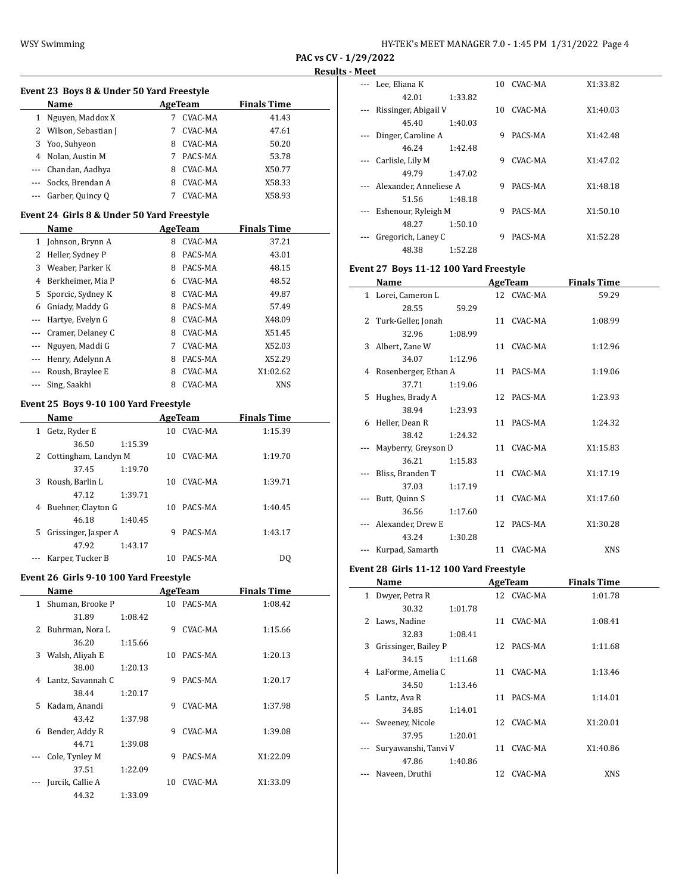| HY-TEK's MEET MANAGER 7.0 - 1:45 PM 1/31/2022 Page 4 |  |  |
|------------------------------------------------------|--|--|
|------------------------------------------------------|--|--|

**PAC vs CV - 1/29/2022**

# **Results - Meet**

|              | Event 23 Boys 8 & Under 50 Yard Freestyle |   |         |                    |  |
|--------------|-------------------------------------------|---|---------|--------------------|--|
|              | Name                                      |   | AgeTeam | <b>Finals Time</b> |  |
|              | Nguyen, Maddox X                          |   | CVAC-MA | 41.43              |  |
| $\mathbf{2}$ | Wilson, Sebastian J                       |   | CVAC-MA | 47.61              |  |
| 3            | Yoo, Suhyeon                              | 8 | CVAC-MA | 50.20              |  |
| 4            | Nolan, Austin M                           |   | PACS-MA | 53.78              |  |
|              | Chandan, Aadhya                           | 8 | CVAC-MA | X50.77             |  |
|              | Socks, Brendan A                          | 8 | CVAC-MA | X58.33             |  |
|              | Garber, Quincy Q                          |   | CVAC-MA | X58.93             |  |

#### **Event 24 Girls 8 & Under 50 Yard Freestyle**

|                                        | Name              |   | <b>AgeTeam</b> | <b>Finals Time</b> |
|----------------------------------------|-------------------|---|----------------|--------------------|
| 1                                      | Johnson, Brynn A  | 8 | CVAC-MA        | 37.21              |
| 2                                      | Heller, Sydney P  | 8 | PACS-MA        | 43.01              |
| 3                                      | Weaber, Parker K  | 8 | PACS-MA        | 48.15              |
| 4                                      | Berkheimer, Mia P | 6 | CVAC-MA        | 48.52              |
| 5                                      | Sporcic, Sydney K | 8 | CVAC-MA        | 49.87              |
| 6                                      | Gniady, Maddy G   | 8 | PACS-MA        | 57.49              |
|                                        | Hartye, Evelyn G  | 8 | CVAC-MA        | X48.09             |
| $\scriptstyle\cdots\scriptstyle\cdots$ | Cramer, Delaney C | 8 | CVAC-MA        | X51.45             |
|                                        | Nguyen, Maddi G   | 7 | CVAC-MA        | X52.03             |
|                                        | Henry, Adelynn A  | 8 | PACS-MA        | X52.29             |
|                                        | Roush, Braylee E  | 8 | <b>CVAC-MA</b> | X1:02.62           |
|                                        | Sing, Saakhi      | 8 | CVAC-MA        | <b>XNS</b>         |

# **Event 25 Boys 9-10 100 Yard Freestyle**

|    | Name                   |         |    | AgeTeam | <b>Finals Time</b> |  |
|----|------------------------|---------|----|---------|--------------------|--|
| 1  | Getz, Ryder E          |         | 10 | CVAC-MA | 1:15.39            |  |
|    | 36.50                  | 1:15.39 |    |         |                    |  |
|    | 2 Cottingham, Landyn M |         | 10 | CVAC-MA | 1:19.70            |  |
|    | 37.45                  | 1:19.70 |    |         |                    |  |
| 3. | Roush, Barlin L        |         | 10 | CVAC-MA | 1:39.71            |  |
|    | 47.12                  | 1:39.71 |    |         |                    |  |
| 4  | Buehner, Clayton G     |         | 10 | PACS-MA | 1:40.45            |  |
|    | 46.18                  | 1:40.45 |    |         |                    |  |
| 5. | Grissinger, Jasper A   |         | 9  | PACS-MA | 1:43.17            |  |
|    | 47.92                  | 1:43.17 |    |         |                    |  |
|    | Karper, Tucker B       |         | 10 | PACS-MA | DO                 |  |

# **Event 26 Girls 9-10 100 Yard Freestyle**

|    | Name              |         |    | AgeTeam    | <b>Finals Time</b> |  |
|----|-------------------|---------|----|------------|--------------------|--|
| 1  | Shuman, Brooke P  |         |    | 10 PACS-MA | 1:08.42            |  |
|    | 31.89             | 1:08.42 |    |            |                    |  |
| 2  | Buhrman, Nora L   |         | 9  | CVAC-MA    | 1:15.66            |  |
|    | 36.20             | 1:15.66 |    |            |                    |  |
| 3  | Walsh, Aliyah E   |         | 10 | PACS-MA    | 1:20.13            |  |
|    | 38.00             | 1:20.13 |    |            |                    |  |
| 4  | Lantz, Savannah C |         | 9  | PACS-MA    | 1:20.17            |  |
|    | 38.44             | 1:20.17 |    |            |                    |  |
| 5. | Kadam, Anandi     |         | 9  | CVAC-MA    | 1:37.98            |  |
|    | 43.42             | 1:37.98 |    |            |                    |  |
| 6  | Bender, Addy R    |         | 9  | CVAC-MA    | 1:39.08            |  |
|    | 44.71             | 1:39.08 |    |            |                    |  |
|    | Cole, Tynley M    |         | 9  | PACS-MA    | X1:22.09           |  |
|    | 37.51             | 1:22.09 |    |            |                    |  |
|    | Jurcik, Callie A  |         | 10 | CVAC-MA    | X1:33.09           |  |
|    | 44.32             | 1:33.09 |    |            |                    |  |

| ハハししし |                        |         |    |         |          |
|-------|------------------------|---------|----|---------|----------|
|       | Lee, Eliana K          |         | 10 | CVAC-MA | X1:33.82 |
|       | 42.01                  | 1:33.82 |    |         |          |
|       | Rissinger, Abigail V   |         | 10 | CVAC-MA | X1:40.03 |
|       | 45.40                  | 1:40.03 |    |         |          |
|       | Dinger, Caroline A     |         | 9  | PACS-MA | X1:42.48 |
|       | 46.24                  | 1:42.48 |    |         |          |
|       | Carlisle, Lily M       |         | 9  | CVAC-MA | X1:47.02 |
|       | 49.79                  | 1:47.02 |    |         |          |
|       | Alexander, Anneliese A |         | 9  | PACS-MA | X1:48.18 |
|       | 51.56                  | 1:48.18 |    |         |          |
|       | Eshenour, Ryleigh M    |         | 9  | PACS-MA | X1:50.10 |
|       | 48.27                  | 1:50.10 |    |         |          |
|       | Gregorich, Laney C     |         | 9  | PACS-MA | X1:52.28 |
|       | 48.38                  | 1:52.28 |    |         |          |

# **Event 27 Boys 11-12 100 Yard Freestyle**

|    | Name                   |         | AgeTeam    | <b>Finals Time</b> |  |
|----|------------------------|---------|------------|--------------------|--|
|    | 1 Lorei, Cameron L     |         | 12 CVAC-MA | 59.29              |  |
|    | 28.55                  | 59.29   |            |                    |  |
|    | 2 Turk-Geller, Jonah   |         | 11 CVAC-MA | 1:08.99            |  |
|    | 32.96                  | 1:08.99 |            |                    |  |
|    | 3 Albert, Zane W       |         | 11 CVAC-MA | 1:12.96            |  |
|    | 34.07                  | 1:12.96 |            |                    |  |
|    | 4 Rosenberger, Ethan A |         | 11 PACS-MA | 1:19.06            |  |
|    | 37.71                  | 1:19.06 |            |                    |  |
| 5. | Hughes, Brady A        |         | 12 PACS-MA | 1:23.93            |  |
|    | 38.94                  | 1:23.93 |            |                    |  |
|    | 6 Heller, Dean R       |         | 11 PACS-MA | 1:24.32            |  |
|    | 38.42                  | 1:24.32 |            |                    |  |
|    | Mayberry, Greyson D    |         | 11 CVAC-MA | X1:15.83           |  |
|    | 36.21                  | 1:15.83 |            |                    |  |
|    | Bliss, Branden T       |         | 11 CVAC-MA | X1:17.19           |  |
|    | 37.03                  | 1:17.19 |            |                    |  |
|    | Butt, Quinn S          |         | 11 CVAC-MA | X1:17.60           |  |
|    | 36.56                  | 1:17.60 |            |                    |  |
|    | Alexander, Drew E      |         | 12 PACS-MA | X1:30.28           |  |
|    | 43.24                  | 1:30.28 |            |                    |  |
|    | Kurpad, Samarth        |         | 11 CVAC-MA | <b>XNS</b>         |  |

# **Event 28 Girls 11-12 100 Yard Freestyle**

|    | Name                 |         |    | AgeTeam    | <b>Finals Time</b> |  |
|----|----------------------|---------|----|------------|--------------------|--|
| 1  | Dwyer, Petra R       |         |    | 12 CVAC-MA | 1:01.78            |  |
|    | 30.32                | 1:01.78 |    |            |                    |  |
| 2  | Laws, Nadine         |         | 11 | CVAC-MA    | 1:08.41            |  |
|    | 32.83                | 1:08.41 |    |            |                    |  |
| 3  | Grissinger, Bailey P |         |    | 12 PACS-MA | 1:11.68            |  |
|    | 34.15                | 1:11.68 |    |            |                    |  |
| 4  | LaForme, Amelia C    |         | 11 | CVAC-MA    | 1:13.46            |  |
|    | 34.50                | 1:13.46 |    |            |                    |  |
| 5. | Lantz, Ava R         |         | 11 | PACS-MA    | 1:14.01            |  |
|    | 34.85                | 1:14.01 |    |            |                    |  |
|    | Sweeney, Nicole      |         |    | 12 CVAC-MA | X1:20.01           |  |
|    | 37.95                | 1:20.01 |    |            |                    |  |
|    | Suryawanshi, Tanyi V |         | 11 | CVAC-MA    | X1:40.86           |  |
|    | 47.86                | 1:40.86 |    |            |                    |  |
|    | Naveen, Druthi       |         | 12 | CVAC-MA    | <b>XNS</b>         |  |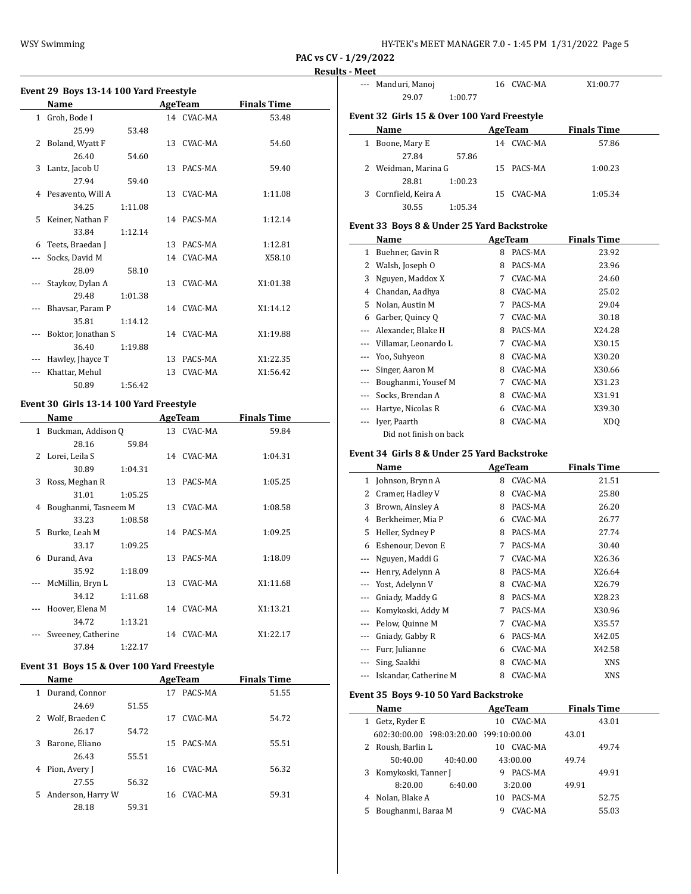| HY-TEK's MEET MANAGER 7.0 - 1:45 PM 1/31/2022 Page 5 |  |  |  |
|------------------------------------------------------|--|--|--|
|------------------------------------------------------|--|--|--|

--- Manduri, Manoj 16 CVAC-MA X1:00.77

**PAC vs CV - 1/29/2022**

#### **Results - Meet**

|     | Event 29 Boys 13-14 100 Yard Freestyle |         |    |                |                    |
|-----|----------------------------------------|---------|----|----------------|--------------------|
|     | Name                                   |         |    | <b>AgeTeam</b> | <b>Finals Time</b> |
|     | 1 Groh, Bode I                         |         |    | 14 CVAC-MA     | 53.48              |
|     | 25.99                                  | 53.48   |    |                |                    |
| 2   | Boland, Wyatt F                        |         |    | 13 CVAC-MA     | 54.60              |
|     | 26.40                                  | 54.60   |    |                |                    |
| 3   | Lantz, Jacob U                         |         |    | 13 PACS-MA     | 59.40              |
|     | 27.94                                  | 59.40   |    |                |                    |
|     | 4 Pesavento, Will A                    |         |    | 13 CVAC-MA     | 1:11.08            |
|     | 34.25                                  | 1:11.08 |    |                |                    |
| 5.  | Keiner, Nathan F                       |         |    | 14 PACS-MA     | 1:12.14            |
|     | 33.84                                  | 1:12.14 |    |                |                    |
| 6   | Teets, Braedan J                       |         | 13 | PACS-MA        | 1:12.81            |
| --- | Socks, David M                         |         |    | 14 CVAC-MA     | X58.10             |
|     | 28.09                                  | 58.10   |    |                |                    |
|     | Staykov, Dylan A                       |         |    | 13 CVAC-MA     | X1:01.38           |
|     | 29.48                                  | 1:01.38 |    |                |                    |
| --- | Bhavsar, Param P                       |         |    | 14 CVAC-MA     | X1:14.12           |
|     | 35.81                                  | 1:14.12 |    |                |                    |
| --- | Boktor, Jonathan S                     |         |    | 14 CVAC-MA     | X1:19.88           |
|     | 36.40                                  | 1:19.88 |    |                |                    |
|     | Hawley, Jhayce T                       |         | 13 | PACS-MA        | X1:22.35           |
| --- | Khattar, Mehul                         |         | 13 | CVAC-MA        | X1:56.42           |

# 50.89 1:56.42 **Event 30 Girls 13-14 100 Yard Freestyle**

|    | Name                 |         |    | AgeTeam    | <b>Finals Time</b> |
|----|----------------------|---------|----|------------|--------------------|
| 1  | Buckman, Addison Q   |         |    | 13 CVAC-MA | 59.84              |
|    | 28.16                | 59.84   |    |            |                    |
|    | 2 Lorei, Leila S     |         |    | 14 CVAC-MA | 1:04.31            |
|    | 30.89                | 1:04.31 |    |            |                    |
| 3  | Ross, Meghan R       |         | 13 | PACS-MA    | 1:05.25            |
|    | 31.01                | 1:05.25 |    |            |                    |
| 4  | Boughanmi, Tasneem M |         | 13 | CVAC-MA    | 1:08.58            |
|    | 33.23                | 1:08.58 |    |            |                    |
| 5. | Burke, Leah M        |         |    | 14 PACS-MA | 1:09.25            |
|    | 33.17                | 1:09.25 |    |            |                    |
| 6  | Durand, Ava          |         | 13 | PACS-MA    | 1:18.09            |
|    | 35.92                | 1:18.09 |    |            |                    |
|    | McMillin, Bryn L     |         | 13 | CVAC-MA    | X1:11.68           |
|    | 34.12                | 1:11.68 |    |            |                    |
|    | Hoover, Elena M      |         | 14 | CVAC-MA    | X1:13.21           |
|    | 34.72                | 1:13.21 |    |            |                    |
|    | Sweeney, Catherine   |         | 14 | CVAC-MA    | X1:22.17           |
|    | 37.84                | 1:22.17 |    |            |                    |

# **Event 31 Boys 15 & Over 100 Yard Freestyle**

| Name                    |       |    | AgeTeam    | <b>Finals Time</b> |
|-------------------------|-------|----|------------|--------------------|
| Durand, Connor<br>1     |       | 17 | PACS-MA    | 51.55              |
| 24.69                   | 51.55 |    |            |                    |
| 2 Wolf, Braeden C       |       | 17 | CVAC-MA    | 54.72              |
| 26.17                   | 54.72 |    |            |                    |
| Barone, Eliano<br>3     |       | 15 | PACS-MA    | 55.51              |
| 26.43                   | 55.51 |    |            |                    |
| Pion, Avery J<br>4      |       |    | 16 CVAC-MA | 56.32              |
| 27.55                   | 56.32 |    |            |                    |
| Anderson, Harry W<br>5. |       |    | 16 CVAC-MA | 59.31              |
| 28.18                   | 59.31 |    |            |                    |

|                                            | 29.07<br>1:00.77                            |                            |                    |  |  |  |  |
|--------------------------------------------|---------------------------------------------|----------------------------|--------------------|--|--|--|--|
|                                            | Event 32 Girls 15 & Over 100 Yard Freestyle |                            |                    |  |  |  |  |
|                                            | Name                                        | AgeTeam                    | <b>Finals Time</b> |  |  |  |  |
|                                            | 1 Boone, Mary E                             | 14 CVAC-MA                 | 57.86              |  |  |  |  |
|                                            | 27.84<br>57.86                              |                            |                    |  |  |  |  |
| 2                                          | Weidman, Marina G                           | 15 <sup>2</sup><br>PACS-MA | 1:00.23            |  |  |  |  |
|                                            | 28.81<br>1:00.23                            |                            |                    |  |  |  |  |
| 3                                          | Cornfield, Keira A                          | CVAC-MA<br>15              | 1:05.34            |  |  |  |  |
|                                            | 30.55<br>1:05.34                            |                            |                    |  |  |  |  |
| Event 33 Boys 8 & Under 25 Yard Backstroke |                                             |                            |                    |  |  |  |  |
|                                            | Name                                        | AgeTeam                    | <b>Finals Time</b> |  |  |  |  |
| 1                                          | Buehner, Gavin R                            | PACS-MA<br>8               | 23.92              |  |  |  |  |
| 2                                          | Walsh, Joseph O                             | PACS-MA<br>8               | 23.96              |  |  |  |  |
| 3                                          | Nguyen, Maddox X                            | CVAC-MA<br>7               | 24.60              |  |  |  |  |
| 4                                          | Chandan, Aadhya                             | CVAC-MA<br>8               | 25.02              |  |  |  |  |
| 5                                          | Nolan, Austin M                             | PACS-MA<br>7               | 29.04              |  |  |  |  |
| 6                                          | Garber, Quincy Q                            | CVAC-MA<br>7               | 30.18              |  |  |  |  |
| $\cdots$                                   | Alexander, Blake H                          | PACS-MA<br>8               | X24.28             |  |  |  |  |
| $---$                                      | Villamar, Leonardo L                        | CVAC-MA<br>7               | X30.15             |  |  |  |  |
|                                            | Yoo, Suhyeon                                | CVAC-MA<br>8.              | X30.20             |  |  |  |  |
| ---                                        | Singer, Aaron M                             | CVAC-MA<br>8.              | X30.66             |  |  |  |  |
| ---                                        | Boughanmi, Yousef M                         | CVAC-MA<br>7               | X31.23             |  |  |  |  |
|                                            | Socks, Brendan A                            | CVAC-MA<br>8               | X31.91             |  |  |  |  |
|                                            | Hartye, Nicolas R                           | CVAC-MA<br>6               | X39.30             |  |  |  |  |
|                                            | Iver, Paarth                                | CVAC-MA<br>8               | XD <sub>O</sub>    |  |  |  |  |
|                                            | Did not finish on back                      |                            |                    |  |  |  |  |
|                                            |                                             |                            |                    |  |  |  |  |

# **Event 34 Girls 8 & Under 25 Yard Backstroke**

|          | Name                  |   | AgeTeam | <b>Finals Time</b> |  |
|----------|-----------------------|---|---------|--------------------|--|
| 1        | Johnson, Brynn A      | 8 | CVAC-MA | 21.51              |  |
| 2        | Cramer, Hadley V      | 8 | CVAC-MA | 25.80              |  |
| 3        | Brown, Ainsley A      | 8 | PACS-MA | 26.20              |  |
| 4        | Berkheimer, Mia P     | 6 | CVAC-MA | 26.77              |  |
| 5        | Heller, Sydney P      | 8 | PACS-MA | 27.74              |  |
| 6        | Eshenour, Devon E     | 7 | PACS-MA | 30.40              |  |
| $---$    | Nguyen, Maddi G       | 7 | CVAC-MA | X26.36             |  |
| ---      | Henry, Adelynn A      | 8 | PACS-MA | X26.64             |  |
|          | Yost, Adelynn V       | 8 | CVAC-MA | X26.79             |  |
|          | Gniady, Maddy G       | 8 | PACS-MA | X28.23             |  |
| ---      | Komykoski, Addy M     | 7 | PACS-MA | X30.96             |  |
| $\cdots$ | Pelow, Quinne M       | 7 | CVAC-MA | X35.57             |  |
| ---      | Gniady, Gabby R       | 6 | PACS-MA | X42.05             |  |
|          | Furr, Julianne        | 6 | CVAC-MA | X42.58             |  |
|          | Sing, Saakhi          | 8 | CVAC-MA | XNS                |  |
|          | Iskandar, Catherine M | 8 | CVAC-MA | XNS                |  |

# **Event 35 Boys 9-10 50 Yard Backstroke**

| Name                                   | AgeTeam       | <b>Finals Time</b> |
|----------------------------------------|---------------|--------------------|
| Getz, Ryder E<br>1                     | CVAC-MA<br>10 | 43.01              |
| 602:30:00.00 598:03:20.00 599:10:00.00 |               | 43.01              |
| 2 Roush, Barlin L                      | CVAC-MA<br>10 | 49.74              |
| 50:40.00<br>40:40.00                   | 43:00.00      | 49.74              |
| 3 Komykoski, Tanner J                  | PACS-MA<br>9  | 49.91              |
| 8:20.00<br>6:40.00                     | 3:20.00       | 49.91              |
| Nolan, Blake A<br>4                    | PACS-MA<br>10 | 52.75              |
| Boughanmi, Baraa M<br>5                | CVAC-MA       | 55.03              |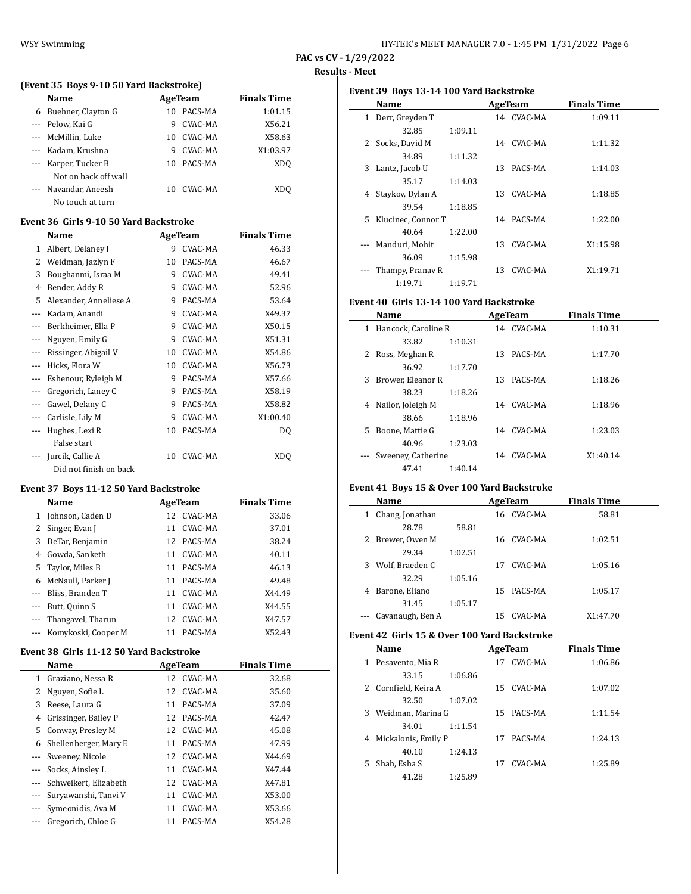$\overline{a}$ 

| HY-TEK's MEET MANAGER 7.0 - 1:45 PM 1/31/2022 Page 6 |  |  |  |
|------------------------------------------------------|--|--|--|
|------------------------------------------------------|--|--|--|

**PAC vs CV - 1/29/2022 Results - Meet**

 $\overline{\phantom{a}}$ 

|          | (Event 35 Boys 9-10 50 Yard Backstroke) |    |         |                    |  |  |  |  |
|----------|-----------------------------------------|----|---------|--------------------|--|--|--|--|
|          | Name                                    |    | AgeTeam | <b>Finals Time</b> |  |  |  |  |
| 6        | Buehner, Clayton G                      | 10 | PACS-MA | 1:01.15            |  |  |  |  |
| $\cdots$ | Pelow, Kai G                            | 9  | CVAC-MA | X56.21             |  |  |  |  |
|          | McMillin, Luke                          | 10 | CVAC-MA | X58.63             |  |  |  |  |
| $---$    | Kadam, Krushna                          | 9  | CVAC-MA | X1:03.97           |  |  |  |  |
|          | Karper, Tucker B                        | 10 | PACS-MA | XDO                |  |  |  |  |
|          | Not on back off wall                    |    |         |                    |  |  |  |  |
|          | Navandar, Aneesh                        | 10 | CVAC-MA | XDO                |  |  |  |  |
|          | No touch at turn                        |    |         |                    |  |  |  |  |

#### **Event 36 Girls 9-10 50 Yard Backstroke**

|          | Name                   |    | AgeTeam | <b>Finals Time</b> |  |
|----------|------------------------|----|---------|--------------------|--|
| 1        | Albert, Delaney I      | 9  | CVAC-MA | 46.33              |  |
| 2        | Weidman, Jazlyn F      | 10 | PACS-MA | 46.67              |  |
| 3        | Boughanmi, Israa M     | 9  | CVAC-MA | 49.41              |  |
| 4        | Bender, Addy R         | 9  | CVAC-MA | 52.96              |  |
| 5        | Alexander, Anneliese A | 9  | PACS-MA | 53.64              |  |
|          | Kadam, Anandi          | 9  | CVAC-MA | X49.37             |  |
|          | Berkheimer, Ella P     | 9  | CVAC-MA | X50.15             |  |
|          | Nguyen, Emily G        | 9  | CVAC-MA | X51.31             |  |
| ---      | Rissinger, Abigail V   | 10 | CVAC-MA | X54.86             |  |
| $- - -$  | Hicks, Flora W         | 10 | CVAC-MA | X56.73             |  |
| $\cdots$ | Eshenour, Ryleigh M    | 9  | PACS-MA | X57.66             |  |
| $\cdots$ | Gregorich, Laney C     | 9  | PACS-MA | X58.19             |  |
| $\cdots$ | Gawel, Delany C        | 9  | PACS-MA | X58.82             |  |
| $\cdots$ | Carlisle, Lily M       | 9  | CVAC-MA | X1:00.40           |  |
|          | Hughes, Lexi R         | 10 | PACS-MA | DQ                 |  |
|          | False start            |    |         |                    |  |
|          | Jurcik, Callie A       | 10 | CVAC-MA | <b>XDQ</b>         |  |
|          | Did not finish on back |    |         |                    |  |

#### **Event 37 Boys 11-12 50 Yard Backstroke**

|          | Name                |    | AgeTeam    | <b>Finals Time</b> |
|----------|---------------------|----|------------|--------------------|
| 1        | Johnson, Caden D    | 12 | CVAC-MA    | 33.06              |
|          | 2 Singer, Evan J    | 11 | CVAC-MA    | 37.01              |
| 3        | DeTar, Benjamin     |    | 12 PACS-MA | 38.24              |
| 4        | Gowda, Sanketh      | 11 | CVAC-MA    | 40.11              |
| 5        | Taylor, Miles B     | 11 | PACS-MA    | 46.13              |
| 6        | McNaull, Parker J   | 11 | PACS-MA    | 49.48              |
|          | Bliss, Branden T    | 11 | CVAC-MA    | X44.49             |
| $\cdots$ | Butt, Quinn S       | 11 | CVAC-MA    | X44.55             |
|          | Thangavel, Tharun   | 12 | CVAC-MA    | X47.57             |
|          | Komykoski, Cooper M | 11 | PACS-MA    | X52.43             |

#### **Event 38 Girls 11-12 50 Yard Backstroke**

|          | Name                  | AgeTeam       | <b>Finals Time</b> |
|----------|-----------------------|---------------|--------------------|
| 1.       | Graziano, Nessa R     | 12 CVAC-MA    | 32.68              |
| 2        | Nguyen, Sofie L       | CVAC-MA<br>12 | 35.60              |
| 3        | Reese, Laura G        | PACS-MA<br>11 | 37.09              |
| 4        | Grissinger, Bailey P  | 12 PACS-MA    | 42.47              |
| 5.       | Conway, Presley M     | 12 CVAC-MA    | 45.08              |
| 6        | Shellenberger, Mary E | PACS-MA<br>11 | 47.99              |
|          | Sweeney, Nicole       | 12 CVAC-MA    | X44.69             |
| $\cdots$ | Socks, Ainsley L      | CVAC-MA<br>11 | X47.44             |
| $\cdots$ | Schweikert, Elizabeth | 12 CVAC-MA    | X47.81             |
| ---      | Suryawanshi, Tanyi V  | CVAC-MA<br>11 | X53.00             |
|          | Symeonidis, Ava M     | CVAC-MA<br>11 | X53.66             |
|          | Gregorich, Chloe G    | PACS-MA<br>11 | X54.28             |

|    | Event 39 Boys 13-14 100 Yard Backstroke |         |    |            |                    |  |  |
|----|-----------------------------------------|---------|----|------------|--------------------|--|--|
|    | Name                                    |         |    | AgeTeam    | <b>Finals Time</b> |  |  |
| 1  | Derr, Greyden T                         |         |    | 14 CVAC-MA | 1:09.11            |  |  |
|    | 32.85                                   | 1:09.11 |    |            |                    |  |  |
| 2  | Socks, David M                          |         |    | 14 CVAC-MA | 1:11.32            |  |  |
|    | 34.89                                   | 1:11.32 |    |            |                    |  |  |
| 3  | Lantz, Jacob U                          |         | 13 | PACS-MA    | 1:14.03            |  |  |
|    | 35.17                                   | 1:14.03 |    |            |                    |  |  |
| 4  | Staykov, Dylan A                        |         |    | 13 CVAC-MA | 1:18.85            |  |  |
|    | 39.54                                   | 1:18.85 |    |            |                    |  |  |
| 5. | Klucinec, Connor T                      |         |    | 14 PACS-MA | 1:22.00            |  |  |
|    | 40.64                                   | 1:22.00 |    |            |                    |  |  |
|    | Manduri, Mohit                          |         | 13 | CVAC-MA    | X1:15.98           |  |  |
|    | 36.09                                   | 1:15.98 |    |            |                    |  |  |
|    | Thampy, Pranav R                        |         | 13 | CVAC-MA    | X1:19.71           |  |  |
|    | 1:19.71                                 | 1:19.71 |    |            |                    |  |  |

# **Event 40 Girls 13-14 100 Yard Backstroke**

|          | Name                |         |     | AgeTeam    | <b>Finals Time</b> |  |
|----------|---------------------|---------|-----|------------|--------------------|--|
| 1        | Hancock, Caroline R |         |     | 14 CVAC-MA | 1:10.31            |  |
|          | 33.82               | 1:10.31 |     |            |                    |  |
|          | 2 Ross, Meghan R    |         | 13  | PACS-MA    | 1:17.70            |  |
|          | 36.92               | 1:17.70 |     |            |                    |  |
| 3        | Brower, Eleanor R   |         | 13. | PACS-MA    | 1:18.26            |  |
|          | 38.23               | 1:18.26 |     |            |                    |  |
| 4        | Nailor, Joleigh M   |         |     | 14 CVAC-MA | 1:18.96            |  |
|          | 38.66               | 1:18.96 |     |            |                    |  |
| 5.       | Boone, Mattie G     |         | 14  | CVAC-MA    | 1:23.03            |  |
|          | 40.96               | 1:23.03 |     |            |                    |  |
| $\cdots$ | Sweeney, Catherine  |         | 14  | CVAC-MA    | X1:40.14           |  |
|          | 47.41               | 1:40.14 |     |            |                    |  |

# **Event 41 Boys 15 & Over 100 Yard Backstroke**

|   | Name             |         |     | AgeTeam    | <b>Finals Time</b> |  |
|---|------------------|---------|-----|------------|--------------------|--|
| 1 | Chang, Jonathan  |         |     | 16 CVAC-MA | 58.81              |  |
|   | 28.78            | 58.81   |     |            |                    |  |
| 2 | Brewer, Owen M   |         | 16  | CVAC-MA    | 1:02.51            |  |
|   | 29.34            | 1:02.51 |     |            |                    |  |
| 3 | Wolf, Braeden C  |         | 17  | CVAC-MA    | 1:05.16            |  |
|   | 32.29            | 1:05.16 |     |            |                    |  |
| 4 | Barone, Eliano   |         | 15. | PACS-MA    | 1:05.17            |  |
|   | 31.45            | 1:05.17 |     |            |                    |  |
|   | Cavanaugh, Ben A |         | 15  | CVAC-MA    | X1:47.70           |  |

#### **Event 42 Girls 15 & Over 100 Yard Backstroke**

|   | Name                 |         |    | AgeTeam    | <b>Finals Time</b> |  |
|---|----------------------|---------|----|------------|--------------------|--|
|   | Pesavento, Mia R     |         | 17 | CVAC-MA    | 1:06.86            |  |
|   | 33.15                | 1:06.86 |    |            |                    |  |
|   | 2 Cornfield, Keira A |         | 15 | CVAC-MA    | 1:07.02            |  |
|   | 32.50                | 1:07.02 |    |            |                    |  |
| 3 | Weidman, Marina G    |         |    | 15 PACS-MA | 1:11.54            |  |
|   | 34.01                | 1:11.54 |    |            |                    |  |
| 4 | Mickalonis, Emily P  |         | 17 | PACS-MA    | 1:24.13            |  |
|   | 40.10                | 1:24.13 |    |            |                    |  |
| 5 | Shah, Esha S         |         | 17 | CVAC-MA    | 1:25.89            |  |
|   | 41.28                | 1:25.89 |    |            |                    |  |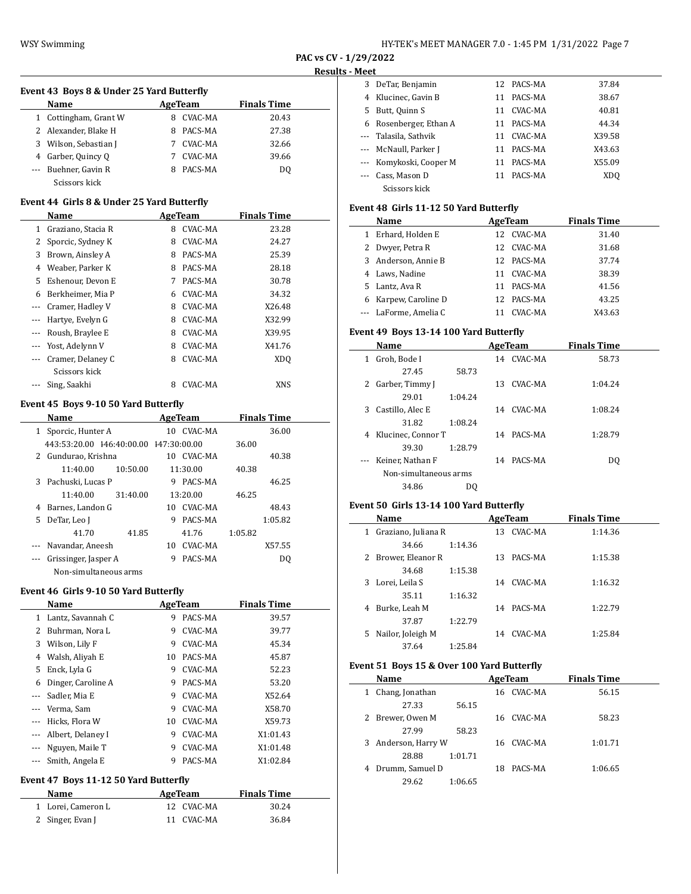| HY-TEK's MEET MANAGER 7.0 - 1:45 PM 1/31/2022 Page 7 |  |  |  |
|------------------------------------------------------|--|--|--|
|------------------------------------------------------|--|--|--|

#### **Event 43 Boys 8 & Under 25 Yard Butterfly**

|   | <b>Name</b>          | AgeTeam |         | <b>Finals Time</b> |  |
|---|----------------------|---------|---------|--------------------|--|
| 1 | Cottingham, Grant W  | 8       | CVAC-MA | 20.43              |  |
|   | 2 Alexander, Blake H | 8       | PACS-MA | 27.38              |  |
| 3 | Wilson, Sebastian J  |         | CVAC-MA | 32.66              |  |
|   | 4 Garber, Quincy Q   |         | CVAC-MA | 39.66              |  |
|   | --- Buehner, Gavin R | 8       | PACS-MA | DO.                |  |
|   | Scissors kick        |         |         |                    |  |

#### **Event 44 Girls 8 & Under 25 Yard Butterfly**

|          | Name               |   | AgeTeam | <b>Finals Time</b> |
|----------|--------------------|---|---------|--------------------|
| 1        | Graziano, Stacia R | 8 | CVAC-MA | 23.28              |
| 2        | Sporcic, Sydney K  | 8 | CVAC-MA | 24.27              |
| 3        | Brown, Ainsley A   | 8 | PACS-MA | 25.39              |
| 4        | Weaber, Parker K   | 8 | PACS-MA | 28.18              |
| 5.       | Eshenour, Devon E  | 7 | PACS-MA | 30.78              |
| 6        | Berkheimer, Mia P  | 6 | CVAC-MA | 34.32              |
| $\cdots$ | Cramer, Hadley V   | 8 | CVAC-MA | X26.48             |
| $\cdots$ | Hartye, Evelyn G   | 8 | CVAC-MA | X32.99             |
|          | Roush, Braylee E   | 8 | CVAC-MA | X39.95             |
|          | Yost, Adelynn V    | 8 | CVAC-MA | X41.76             |
|          | Cramer, Delaney C  | 8 | CVAC-MA | XD <sub>0</sub>    |
|          | Scissors kick      |   |         |                    |
|          | Sing, Saakhi       | 8 | CVAC-MA | XNS                |

# **Event 45 Boys 9-10 50 Yard Butterfly**

| Name |                                        |          |     | AgeTeam  |         | <b>Finals Time</b> |  |  |
|------|----------------------------------------|----------|-----|----------|---------|--------------------|--|--|
| 1    | Sporcic, Hunter A                      |          | 10  | CVAC-MA  |         | 36.00              |  |  |
|      | 443:53:20.00 146:40:00.00 147:30:00.00 |          |     |          | 36.00   |                    |  |  |
|      | 2 Gundurao, Krishna                    |          | 10. | CVAC-MA  |         | 40.38              |  |  |
|      | 11:40.00                               | 10:50.00 |     | 11:30.00 | 40.38   |                    |  |  |
|      | 3 Pachuski, Lucas P                    |          | 9   | PACS-MA  |         | 46.25              |  |  |
|      | 11:40.00                               | 31:40.00 |     | 13:20.00 | 46.25   |                    |  |  |
| 4    | Barnes, Landon G                       |          | 10. | CVAC-MA  |         | 48.43              |  |  |
| 5.   | DeTar, Leo J                           |          | 9   | PACS-MA  |         | 1:05.82            |  |  |
|      | 41.70                                  | 41.85    |     | 41.76    | 1:05.82 |                    |  |  |
|      | Navandar, Aneesh                       |          | 10  | CVAC-MA  |         | X57.55             |  |  |
|      | Grissinger, Jasper A                   |          | 9   | PACS-MA  |         | DO                 |  |  |
|      | Non-simultaneous arms                  |          |     |          |         |                    |  |  |

## **Event 46 Girls 9-10 50 Yard Butterfly**

|          | Name               | AgeTeam |         | <b>Finals Time</b> |
|----------|--------------------|---------|---------|--------------------|
| 1        | Lantz, Savannah C  | 9       | PACS-MA | 39.57              |
| 2        | Buhrman, Nora L    | 9       | CVAC-MA | 39.77              |
| 3        | Wilson, Lily F     | 9       | CVAC-MA | 45.34              |
| 4        | Walsh, Aliyah E    | 10      | PACS-MA | 45.87              |
| 5        | Enck, Lyla G       | 9       | CVAC-MA | 52.23              |
| 6        | Dinger, Caroline A | 9       | PACS-MA | 53.20              |
| $\cdots$ | Sadler, Mia E      | 9       | CVAC-MA | X52.64             |
| $\cdots$ | Verma, Sam         | 9       | CVAC-MA | X58.70             |
|          | Hicks, Flora W     | 10      | CVAC-MA | X59.73             |
| $\cdots$ | Albert, Delaney I  | 9       | CVAC-MA | X1:01.43           |
|          | Nguyen, Maile T    | 9       | CVAC-MA | X1:01.48           |
|          | Smith, Angela E    | 9       | PACS-MA | X1:02.84           |

#### **Event 47 Boys 11-12 50 Yard Butterfly**

| Name               | AgeTeam    | <b>Finals Time</b> |  |
|--------------------|------------|--------------------|--|
| 1 Lorei, Cameron L | 12 CVAC-MA | 30.24              |  |
| 2 Singer, Evan J   | 11 CVAC-MA | 36.84              |  |

| MEEL |                         |    |            |        |
|------|-------------------------|----|------------|--------|
| 3    | DeTar, Benjamin         |    | 12 PACS-MA | 37.84  |
|      | Klucinec, Gavin B       | 11 | PACS-MA    | 38.67  |
| 5    | Butt, Quinn S           | 11 | CVAC-MA    | 40.81  |
| 6    | Rosenberger, Ethan A    |    | 11 PACS-MA | 44.34  |
|      | --- Talasila, Sathvik   | 11 | CVAC-MA    | X39.58 |
|      | --- McNaull, Parker J   |    | 11 PACS-MA | X43.63 |
|      | --- Komykoski, Cooper M | 11 | PACS-MA    | X55.09 |
|      | Cass, Mason D           | 11 | PACS-MA    | XDO    |
|      | Scissors kick           |    |            |        |

#### **Event 48 Girls 11-12 50 Yard Butterfly**

|              | Name                  |     | AgeTeam    | <b>Finals Time</b> |  |
|--------------|-----------------------|-----|------------|--------------------|--|
| $\mathbf{1}$ | Erhard, Holden E      | 12  | CVAC-MA    | 31.40              |  |
|              | 2 Dwyer, Petra R      | 12. | CVAC-MA    | 31.68              |  |
|              | 3 Anderson, Annie B   |     | 12 PACS-MA | 37.74              |  |
|              | 4 Laws, Nadine        | 11  | CVAC-MA    | 38.39              |  |
|              | 5 Lantz, Ava R        |     | 11 PACS-MA | 41.56              |  |
|              | 6 Karpew, Caroline D  | 12  | PACS-MA    | 43.25              |  |
|              | --- LaForme, Amelia C |     | CVAC-MA    | X43.63             |  |

# **Event 49 Boys 13-14 100 Yard Butterfly**

|                       | Name               |         | AgeTeam |            | <b>Finals Time</b> |
|-----------------------|--------------------|---------|---------|------------|--------------------|
| 1                     | Groh, Bode I       |         |         | 14 CVAC-MA | 58.73              |
|                       | 27.45              | 58.73   |         |            |                    |
| 2                     | Garber, Timmy J    |         | 13.     | CVAC-MA    | 1:04.24            |
|                       | 29.01              | 1:04.24 |         |            |                    |
| 3                     | Castillo, Alec E   |         | 14      | CVAC-MA    | 1:08.24            |
|                       | 31.82              | 1:08.24 |         |            |                    |
| 4                     | Klucinec, Connor T |         |         | 14 PACS-MA | 1:28.79            |
|                       | 39.30              | 1:28.79 |         |            |                    |
| $\cdots$              | Keiner, Nathan F   |         | 14      | PACS-MA    | D <sub>0</sub>     |
| Non-simultaneous arms |                    |         |         |            |                    |
|                       | 34.86              | DO      |         |            |                    |
|                       |                    |         |         |            |                    |

# **Event 50 Girls 13-14 100 Yard Butterfly**

| Name                     |         |     | AgeTeam | <b>Finals Time</b> |  |
|--------------------------|---------|-----|---------|--------------------|--|
| Graziano, Juliana R<br>1 |         | 13. | CVAC-MA | 1:14.36            |  |
| 34.66                    | 1:14.36 |     |         |                    |  |
| 2 Brower, Eleanor R      |         | 13. | PACS-MA | 1:15.38            |  |
| 34.68                    | 1:15.38 |     |         |                    |  |
| 3 Lorei, Leila S         |         | 14  | CVAC-MA | 1:16.32            |  |
| 35.11                    | 1:16.32 |     |         |                    |  |
| Burke, Leah M<br>4       |         | 14  | PACS-MA | 1:22.79            |  |
| 37.87                    | 1:22.79 |     |         |                    |  |
| Nailor, Joleigh M<br>5.  |         | 14  | CVAC-MA | 1:25.84            |  |
| 37.64                    | 1:25.84 |     |         |                    |  |

# **Event 51 Boys 15 & Over 100 Yard Butterfly**

| Name                 | AgeTeam       | <b>Finals Time</b> |
|----------------------|---------------|--------------------|
| Chang, Jonathan<br>1 | 16 CVAC-MA    | 56.15              |
| 27.33                | 56.15         |                    |
| 2 Brewer, Owen M     | 16 CVAC-MA    | 58.23              |
| 27.99                | 58.23         |                    |
| 3 Anderson, Harry W  | 16 CVAC-MA    | 1:01.71            |
| 28.88                | 1:01.71       |                    |
| Drumm, Samuel D<br>4 | PACS-MA<br>18 | 1:06.65            |
| 29.62                | 1:06.65       |                    |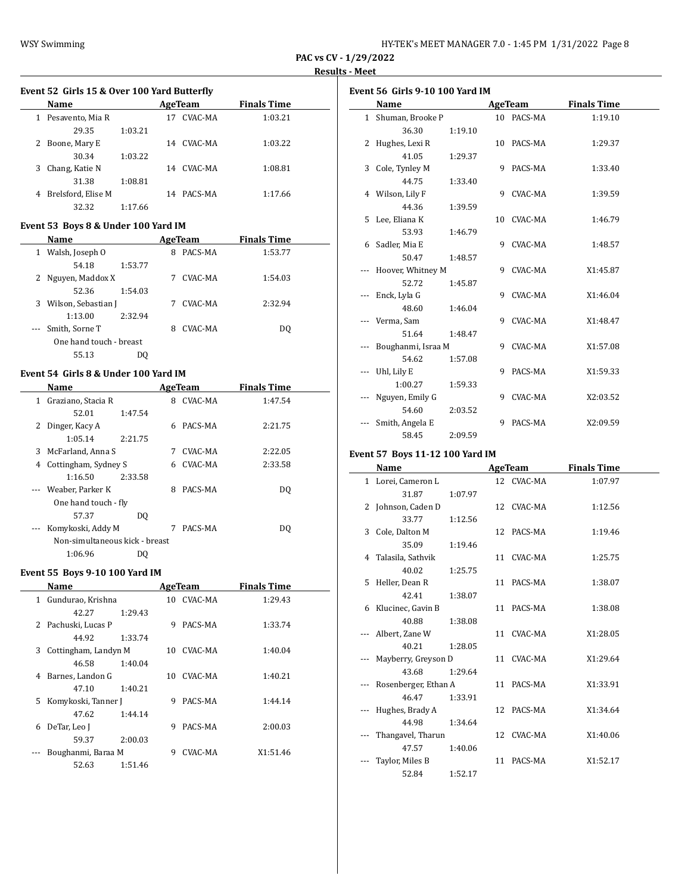| HY-TEK's MEET MANAGER 7.0 - 1:45 PM 1/31/2022 Page 8 |  |  |  |
|------------------------------------------------------|--|--|--|
|------------------------------------------------------|--|--|--|

# **Event 52 Girls 15 & Over 100 Yard Butterfly**

|   | <b>Name</b>        | AgeTeam |    |            | <b>Finals Time</b> |  |
|---|--------------------|---------|----|------------|--------------------|--|
| 1 | Pesavento, Mia R   |         | 17 | CVAC-MA    | 1:03.21            |  |
|   | 29.35              | 1:03.21 |    |            |                    |  |
| 2 | Boone, Mary E      |         | 14 | CVAC-MA    | 1:03.22            |  |
|   | 30.34              | 1:03.22 |    |            |                    |  |
| 3 | Chang, Katie N     |         | 14 | CVAC-MA    | 1:08.81            |  |
|   | 31.38              | 1:08.81 |    |            |                    |  |
| 4 | Brelsford, Elise M |         |    | 14 PACS-MA | 1:17.66            |  |
|   | 32.32              | 1:17.66 |    |            |                    |  |

# **Event 53 Boys 8 & Under 100 Yard IM**

|              | Name                    |         |   | AgeTeam | <b>Finals Time</b> |  |
|--------------|-------------------------|---------|---|---------|--------------------|--|
| $\mathbf{1}$ | Walsh, Joseph O         |         | 8 | PACS-MA | 1:53.77            |  |
|              | 54.18                   | 1:53.77 |   |         |                    |  |
|              | 2 Nguyen, Maddox X      |         |   | CVAC-MA | 1:54.03            |  |
|              | 52.36                   | 1:54.03 |   |         |                    |  |
| 3            | Wilson, Sebastian J     |         |   | CVAC-MA | 2:32.94            |  |
|              | 1:13.00                 | 2:32.94 |   |         |                    |  |
| $\cdots$     | Smith, Sorne T          |         | 8 | CVAC-MA | DO.                |  |
|              | One hand touch - breast |         |   |         |                    |  |
|              | 55.13                   | DO.     |   |         |                    |  |
|              |                         |         |   |         |                    |  |

# **Event 54 Girls 8 & Under 100 Yard IM**

|   | Name                           |         |   | <b>AgeTeam</b> | <b>Finals Time</b> |  |
|---|--------------------------------|---------|---|----------------|--------------------|--|
| 1 | Graziano, Stacia R             |         | 8 | CVAC-MA        | 1:47.54            |  |
|   | 52.01                          | 1:47.54 |   |                |                    |  |
| 2 | Dinger, Kacy A                 |         | 6 | PACS-MA        | 2:21.75            |  |
|   | 1:05.14                        | 2:21.75 |   |                |                    |  |
| 3 | McFarland, Anna S              |         | 7 | CVAC-MA        | 2:22.05            |  |
| 4 | Cottingham, Sydney S           |         | 6 | CVAC-MA        | 2:33.58            |  |
|   | 1:16.50                        | 2:33.58 |   |                |                    |  |
|   | --- Weaber, Parker K           |         | 8 | PACS-MA        | DO.                |  |
|   | One hand touch - fly           |         |   |                |                    |  |
|   | 57.37                          | DO.     |   |                |                    |  |
|   | Komykoski, Addy M              |         | 7 | PACS-MA        | DO                 |  |
|   | Non-simultaneous kick - breast |         |   |                |                    |  |
|   | 1:06.96                        | DΟ      |   |                |                    |  |

# **Event 55 Boys 9-10 100 Yard IM**

|   | Name                  |         |     | AgeTeam    | <b>Finals Time</b> |  |
|---|-----------------------|---------|-----|------------|--------------------|--|
| 1 | Gundurao, Krishna     |         |     | 10 CVAC-MA | 1:29.43            |  |
|   | 42.27                 | 1:29.43 |     |            |                    |  |
|   | 2 Pachuski, Lucas P   |         | 9   | PACS-MA    | 1:33.74            |  |
|   | 44.92                 | 1:33.74 |     |            |                    |  |
| 3 | Cottingham, Landyn M  |         | 10  | CVAC-MA    | 1:40.04            |  |
|   | 46.58                 | 1:40.04 |     |            |                    |  |
| 4 | Barnes, Landon G      |         | 10. | CVAC-MA    | 1:40.21            |  |
|   | 47.10                 | 1:40.21 |     |            |                    |  |
|   | 5 Komykoski, Tanner J |         | 9   | PACS-MA    | 1:44.14            |  |
|   | 47.62                 | 1:44.14 |     |            |                    |  |
| 6 | DeTar, Leo J          |         | 9   | PACS-MA    | 2:00.03            |  |
|   | 59.37                 | 2:00.03 |     |            |                    |  |
|   | Boughanmi, Baraa M    |         | 9   | CVAC-MA    | X1:51.46           |  |
|   | 52.63                 | 1:51.46 |     |            |                    |  |

| Event 56 Girls 9-10 100 Yard IM |                    |         |   |            |                    |  |  |  |
|---------------------------------|--------------------|---------|---|------------|--------------------|--|--|--|
|                                 | Name               |         |   | AgeTeam    | <b>Finals Time</b> |  |  |  |
|                                 | 1 Shuman, Brooke P |         |   | 10 PACS-MA | 1:19.10            |  |  |  |
|                                 | 36.30              | 1:19.10 |   |            |                    |  |  |  |
|                                 | 2 Hughes, Lexi R   |         |   | 10 PACS-MA | 1:29.37            |  |  |  |
|                                 | 41.05              | 1:29.37 |   |            |                    |  |  |  |
|                                 | 3 Cole, Tynley M   |         | 9 | PACS-MA    | 1:33.40            |  |  |  |
|                                 | 44.75              | 1:33.40 |   |            |                    |  |  |  |
|                                 | 4 Wilson, Lily F   |         |   | 9 CVAC-MA  | 1:39.59            |  |  |  |
|                                 | 44.36              | 1:39.59 |   |            |                    |  |  |  |
|                                 | 5 Lee, Eliana K    |         |   | 10 CVAC-MA | 1:46.79            |  |  |  |
|                                 | 53.93              | 1:46.79 |   |            |                    |  |  |  |
|                                 | 6 Sadler, Mia E    |         | 9 | CVAC-MA    | 1:48.57            |  |  |  |
|                                 | 50.47              | 1:48.57 |   |            |                    |  |  |  |
|                                 | Hoover, Whitney M  |         |   | 9 CVAC-MA  | X1:45.87           |  |  |  |
|                                 | 52.72              | 1:45.87 |   |            |                    |  |  |  |
|                                 | Enck, Lyla G       |         |   | 9 CVAC-MA  | X1:46.04           |  |  |  |
|                                 | 48.60              | 1:46.04 |   |            |                    |  |  |  |
|                                 | Verma, Sam         |         |   | 9 CVAC-MA  | X1:48.47           |  |  |  |
|                                 | 51.64              | 1:48.47 |   |            |                    |  |  |  |
|                                 | Boughanmi, Israa M |         |   | 9 CVAC-MA  | X1:57.08           |  |  |  |
|                                 | 54.62              | 1:57.08 |   |            |                    |  |  |  |
|                                 | Uhl, Lily E        |         | 9 | PACS-MA    | X1:59.33           |  |  |  |
|                                 | 1:00.27            | 1:59.33 |   |            |                    |  |  |  |
|                                 | Nguyen, Emily G    |         | 9 | CVAC-MA    | X2:03.52           |  |  |  |
|                                 | 54.60              | 2:03.52 |   |            |                    |  |  |  |
|                                 | Smith, Angela E    |         | 9 | PACS-MA    | X2:09.59           |  |  |  |
|                                 | 58.45              | 2:09.59 |   |            |                    |  |  |  |

# **Event 57 Boys 11-12 100 Yard IM**

| Name                 |         | AgeTeam    | <b>Finals Time</b> |
|----------------------|---------|------------|--------------------|
| 1 Lorei, Cameron L   |         | 12 CVAC-MA | 1:07.97            |
| 31.87                | 1:07.97 |            |                    |
| 2 Johnson, Caden D   |         | 12 CVAC-MA | 1:12.56            |
| 33.77                | 1:12.56 |            |                    |
| 3 Cole, Dalton M     |         | 12 PACS-MA | 1:19.46            |
| 35.09                | 1:19.46 |            |                    |
| 4 Talasila, Sathvik  |         | 11 CVAC-MA | 1:25.75            |
| 40.02                | 1:25.75 |            |                    |
| 5 Heller, Dean R     |         | 11 PACS-MA | 1:38.07            |
| 42.41                | 1:38.07 |            |                    |
| 6 Klucinec, Gavin B  |         | 11 PACS-MA | 1:38.08            |
| 40.88                | 1:38.08 |            |                    |
| Albert, Zane W       |         | 11 CVAC-MA | X1:28.05           |
| 40.21                | 1:28.05 |            |                    |
| Mayberry, Greyson D  |         | 11 CVAC-MA | X1:29.64           |
| 43.68                | 1:29.64 |            |                    |
| Rosenberger, Ethan A |         | 11 PACS-MA | X1:33.91           |
| 46.47                | 1:33.91 |            |                    |
| Hughes, Brady A      |         | 12 PACS-MA | X1:34.64           |
| 44.98                | 1:34.64 |            |                    |
| Thangavel, Tharun    |         | 12 CVAC-MA | X1:40.06           |
| 47.57                | 1:40.06 |            |                    |
| Taylor, Miles B      |         | 11 PACS-MA | X1:52.17           |
| 52.84                | 1:52.17 |            |                    |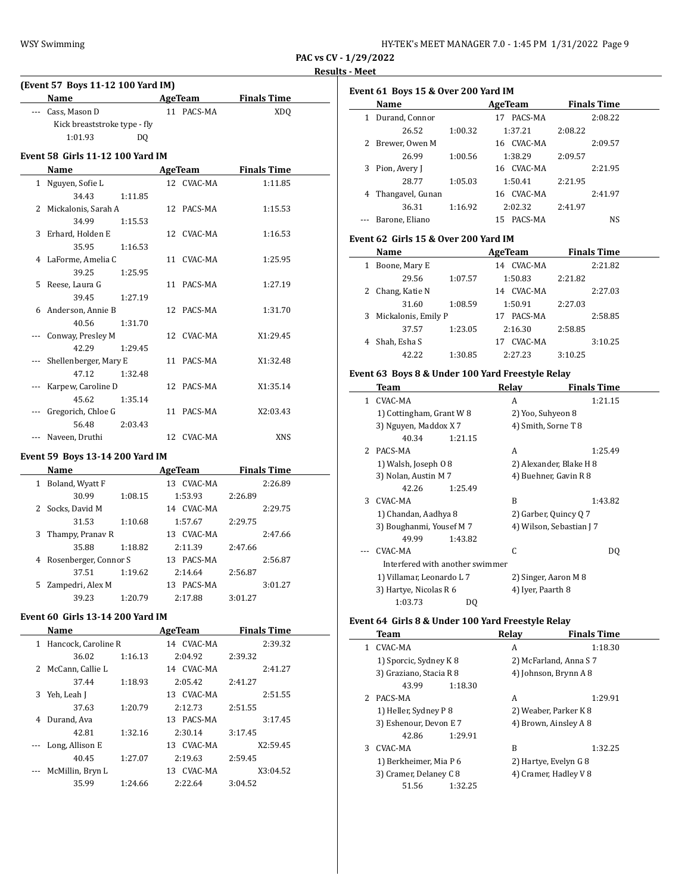| HY-TEK's MEET MANAGER 7.0 - 1:45 PM 1/31/2022 Page 9 |  |  |
|------------------------------------------------------|--|--|
|------------------------------------------------------|--|--|

**PAC vs CV - 1/29/2022**

**Results - Meet**

| (Event 57 Boys 11-12 100 Yard IM) |                                         |                |  |            |                    |  |  |
|-----------------------------------|-----------------------------------------|----------------|--|------------|--------------------|--|--|
|                                   | <b>Name</b>                             |                |  | AgeTeam    | <b>Finals Time</b> |  |  |
| $---$                             | Cass, Mason D                           |                |  | 11 PACS-MA | XD <sub>O</sub>    |  |  |
|                                   | Kick breaststroke type - fly            |                |  |            |                    |  |  |
|                                   | 1:01.93                                 | D <sub>0</sub> |  |            |                    |  |  |
|                                   | <b>Event 58 Girls 11-12 100 Yard IM</b> |                |  |            |                    |  |  |
|                                   | Name                                    |                |  | AgeTeam    | <b>Finals Time</b> |  |  |
|                                   | 1 Nguyen, Sofie L                       |                |  | 12 CVAC-MA | 1:11.85            |  |  |
|                                   | 34.43                                   | 1:11.85        |  |            |                    |  |  |
|                                   | 2 Mickalonis, Sarah A                   |                |  | 12 PACS-MA | 1:15.53            |  |  |
|                                   | 34.99                                   | 1:15.53        |  |            |                    |  |  |
| 3                                 | Erhard, Holden E                        |                |  | 12 CVAC-MA | 1:16.53            |  |  |
|                                   | 35.95                                   | 1:16.53        |  |            |                    |  |  |
|                                   | 4 LaForme, Amelia C                     |                |  | 11 CVAC-MA | 1:25.95            |  |  |
|                                   | 39.25                                   | 1:25.95        |  |            |                    |  |  |
| 5                                 | Reese, Laura G                          |                |  | 11 PACS-MA | 1:27.19            |  |  |
|                                   | 39.45                                   | 1:27.19        |  |            |                    |  |  |
|                                   | 6 Anderson, Annie B                     |                |  | 12 PACS-MA | 1:31.70            |  |  |
|                                   | 40.56                                   | 1:31.70        |  |            |                    |  |  |
|                                   | Conway, Presley M                       |                |  | 12 CVAC-MA | X1:29.45           |  |  |
|                                   | 42.29                                   | 1:29.45        |  |            |                    |  |  |
|                                   | Shellenberger, Mary E                   |                |  | 11 PACS-MA | X1:32.48           |  |  |
|                                   | 47.12                                   | 1:32.48        |  |            |                    |  |  |
|                                   | Karpew, Caroline D                      |                |  | 12 PACS-MA | X1:35.14           |  |  |
|                                   | 45.62                                   | 1:35.14        |  |            |                    |  |  |
|                                   | Gregorich, Chloe G                      |                |  | 11 PACS-MA | X2:03.43           |  |  |
|                                   | 56.48                                   | 2:03.43        |  |            |                    |  |  |
|                                   | Naveen, Druthi                          |                |  | 12 CVAC-MA | <b>XNS</b>         |  |  |

# **Event 59 Boys 13-14 200 Yard IM**

|   | <b>Name</b>           |         | AgeTeam       | <b>Finals Time</b> |
|---|-----------------------|---------|---------------|--------------------|
| 1 | Boland, Wyatt F       |         | 13 CVAC-MA    | 2:26.89            |
|   | 30.99                 | 1:08.15 | 1:53.93       | 2:26.89            |
| 2 | Socks, David M        |         | 14 CVAC-MA    | 2:29.75            |
|   | 31.53                 | 1:10.68 | 1:57.67       | 2:29.75            |
| 3 | Thampy, Pranav R      |         | 13 CVAC-MA    | 2:47.66            |
|   | 35.88                 | 1:18.82 | 2:11.39       | 2:47.66            |
| 4 | Rosenberger, Connor S |         | PACS-MA<br>13 | 2:56.87            |
|   | 37.51                 | 1:19.62 | 2:14.64       | 2:56.87            |
| 5 | Zampedri, Alex M      |         | PACS-MA<br>13 | 3:01.27            |
|   | 39.23                 | 1:20.79 | 2:17.88       | 3:01.27            |

#### **Event 60 Girls 13-14 200 Yard IM**

|    | Name                |         | AgeTeam        | <b>Finals Time</b> |  |
|----|---------------------|---------|----------------|--------------------|--|
| 1  | Hancock, Caroline R |         | 14 CVAC-MA     | 2:39.32            |  |
|    | 36.02               | 1:16.13 | 2:04.92        | 2:39.32            |  |
|    | 2 McCann, Callie L  |         | 14 CVAC-MA     | 2:41.27            |  |
|    | 37.44               | 1:18.93 | 2:05.42        | 2:41.27            |  |
| 3. | Yeh, Leah J         |         | 13 CVAC-MA     | 2:51.55            |  |
|    | 37.63               | 1:20.79 | 2:12.73        | 2:51.55            |  |
| 4  | Durand, Ava         |         | 13 PACS-MA     | 3:17.45            |  |
|    | 42.81               | 1:32.16 | 2:30.14        | 3:17.45            |  |
|    | Long, Allison E     |         | CVAC-MA<br>13  | X2:59.45           |  |
|    | 40.45               | 1:27.07 | 2:19.63        | 2:59.45            |  |
|    | McMillin, Bryn L    |         | CVAC-MA<br>13. | X3:04.52           |  |
|    | 35.99               | 1:24.66 | 2:22.64        | 3:04.52            |  |

|   | Event 61 Boys 15 & Over 200 Yard IM              |         |                       |                         |  |
|---|--------------------------------------------------|---------|-----------------------|-------------------------|--|
|   | Name                                             |         |                       | AgeTeam Finals Time     |  |
|   | 1 Durand, Connor                                 |         | 17 PACS-MA            | 2:08.22                 |  |
|   | 26.52                                            | 1:00.32 | 1:37.21               | 2:08.22                 |  |
|   | 2 Brewer, Owen M                                 |         | 16 CVAC-MA            | 2:09.57                 |  |
|   | 26.99                                            | 1:00.56 | 1:38.29               | 2:09.57                 |  |
|   | 3 Pion, Avery J                                  |         | 16 CVAC-MA            | 2:21.95                 |  |
|   | 28.77                                            | 1:05.03 | 1:50.41               | 2:21.95                 |  |
|   | 4 Thangavel, Gunan                               |         | 16 CVAC-MA            | 2:41.97                 |  |
|   | 36.31                                            | 1:16.92 | 2:02.32               | 2:41.97                 |  |
|   | Barone, Eliano                                   |         | 15 PACS-MA            | <b>NS</b>               |  |
|   | Event 62 Girls 15 & Over 200 Yard IM             |         |                       |                         |  |
|   | Name                                             |         |                       | AgeTeam Finals Time     |  |
|   | 1 Boone, Mary E                                  |         | 14 CVAC-MA            | 2:21.82                 |  |
|   | 29.56                                            | 1:07.57 | 1:50.83               | 2:21.82                 |  |
|   | 2 Chang, Katie N                                 |         | 14 CVAC-MA            | 2:27.03                 |  |
|   | 31.60                                            | 1:08.59 | 1:50.91               | 2:27.03                 |  |
|   | 3 Mickalonis, Emily P                            |         | 17 PACS-MA            | 2:58.85                 |  |
|   | 37.57                                            | 1:23.05 | 2:16.30               | 2:58.85                 |  |
|   | 4 Shah, Esha S                                   |         | 17 CVAC-MA            | 3:10.25                 |  |
|   | 42.22                                            | 1:30.85 | 2:27.23               | 3:10.25                 |  |
|   | Event 63 Boys 8 & Under 100 Yard Freestyle Relay |         |                       |                         |  |
|   | Team                                             |         |                       | Relay Finals Time       |  |
|   | 1 CVAC-MA                                        |         | A                     | 1:21.15                 |  |
|   | 1) Cottingham, Grant W 8                         |         | 2) Yoo, Suhyeon 8     |                         |  |
|   | 3) Nguyen, Maddox X7                             |         | 4) Smith, Sorne T 8   |                         |  |
|   | 40.34                                            | 1:21.15 |                       |                         |  |
| 2 | PACS-MA                                          |         | A                     | 1:25.49                 |  |
|   | 1) Walsh, Joseph 0 8                             |         |                       | 2) Alexander, Blake H 8 |  |
|   | 3) Nolan, Austin M 7                             |         | 4) Buehner, Gavin R 8 |                         |  |
|   | $\sqrt{1225}$ $\sqrt{121}$                       |         |                       |                         |  |

|     | J HUIAII, AUSUIL M. /           |         | <b>T</b> DUCHING, GAVIII IVO |         |
|-----|---------------------------------|---------|------------------------------|---------|
|     | 42.26                           | 1:25.49 |                              |         |
| 3   | CVAC-MA                         |         | B                            | 1:43.82 |
|     | 1) Chandan, Aadhya 8            |         | 2) Garber, Quincy Q 7        |         |
|     | 3) Boughanmi, Yousef M 7        |         | 4) Wilson, Sebastian J 7     |         |
|     | 49.99                           | 1:43.82 |                              |         |
| --- | CVAC-MA                         |         | C                            | DO.     |
|     | Interfered with another swimmer |         |                              |         |
|     | 1) Villamar, Leonardo L 7       |         | 2) Singer, Aaron M 8         |         |
|     | 3) Hartye, Nicolas R 6          |         | 4) Iyer, Paarth 8            |         |
|     | 1:03.73                         | DΟ      |                              |         |

# **Event 64 Girls 8 & Under 100 Yard Freestyle Relay**

|   | Team                    |         | Relav | <b>Finals Time</b>     |
|---|-------------------------|---------|-------|------------------------|
| 1 | CVAC-MA                 |         | A     | 1:18.30                |
|   | 1) Sporcic, Sydney K 8  |         |       | 2) McFarland, Anna S 7 |
|   | 3) Graziano, Stacia R 8 |         |       | 4) Johnson, Brynn A 8  |
|   | 43.99                   | 1:18.30 |       |                        |
|   | 2 PACS-MA               |         | A     | 1:29.91                |
|   | 1) Heller, Sydney P 8   |         |       | 2) Weaber, Parker K 8  |
|   | 3) Eshenour, Devon E 7  |         |       | 4) Brown, Ainsley A 8  |
|   | 42.86                   | 1:29.91 |       |                        |
| 3 | CVAC-MA                 |         | B     | 1:32.25                |
|   | 1) Berkheimer, Mia P 6  |         |       | 2) Hartye, Evelyn G 8  |
|   | 3) Cramer, Delaney C 8  |         |       | 4) Cramer, Hadley V 8  |
|   | 51.56                   | 1:32.25 |       |                        |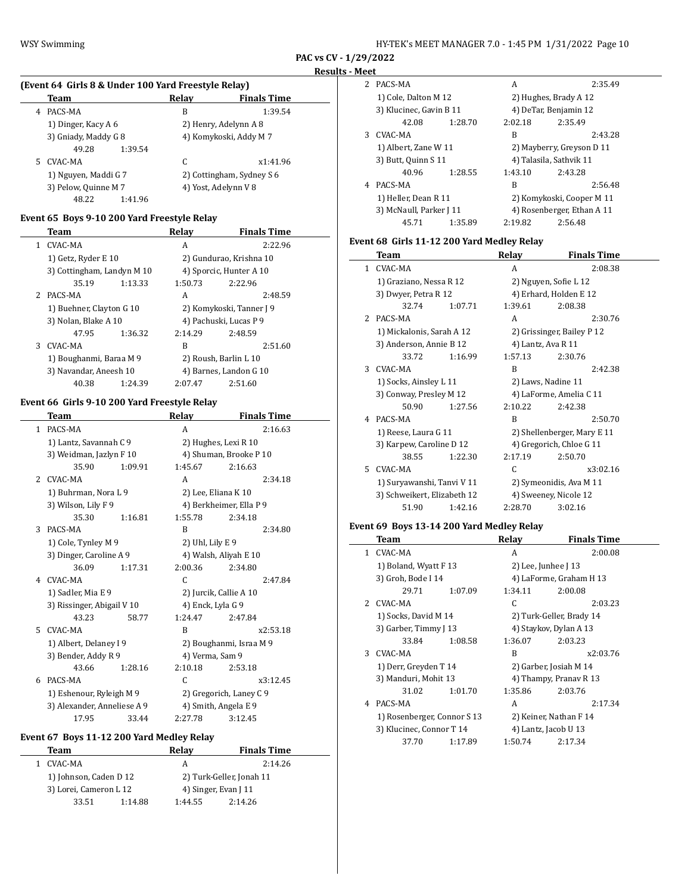$\overline{a}$ 

| HY-TEK's MEET MANAGER 7.0 - 1:45 PM 1/31/2022 Page 10 |  |  |  |
|-------------------------------------------------------|--|--|--|
|-------------------------------------------------------|--|--|--|

**PAC vs CV - 1/29/2022 Results - Meet**

# **(Event 64 Girls 8 & Under 100 Yard Freestyle Relay)**

|    | Team                 | Relav   | <b>Finals Time</b>        |  |
|----|----------------------|---------|---------------------------|--|
| 4  | PACS-MA              | B       | 1:39.54                   |  |
|    | 1) Dinger, Kacy A 6  |         | 2) Henry, Adelynn A 8     |  |
|    | 3) Gniady, Maddy G 8 |         | 4) Komykoski, Addy M 7    |  |
|    | 49.28                | 1:39.54 |                           |  |
| 5. | CVAC-MA              | C       | x1:41.96                  |  |
|    | 1) Nguyen, Maddi G7  |         | 2) Cottingham, Sydney S 6 |  |
|    | 3) Pelow, Quinne M 7 |         | 4) Yost, Adelynn V 8      |  |
|    | 48.22                | 1:41.96 |                           |  |

# **Event 65 Boys 9-10 200 Yard Freestyle Relay**

|                | Team                       |         | Relav   | <b>Finals Time</b>       |
|----------------|----------------------------|---------|---------|--------------------------|
| 1.             | CVAC-MA                    |         | A       | 2:22.96                  |
|                | 1) Getz, Ryder E 10        |         |         | 2) Gundurao, Krishna 10  |
|                | 3) Cottingham, Landyn M 10 |         |         | 4) Sporcic, Hunter A 10  |
|                | 35.19                      | 1:13.33 | 1:50.73 | 2:22.96                  |
| $\overline{2}$ | PACS-MA                    |         | A       | 2:48.59                  |
|                | 1) Buehner, Clayton G 10   |         |         | 2) Komykoski, Tanner J 9 |
|                | 3) Nolan, Blake A 10       |         |         | 4) Pachuski, Lucas P 9   |
|                | 47.95                      | 1:36.32 | 2:14.29 | 2:48.59                  |
| 3              | CVAC-MA                    |         | B       | 2:51.60                  |
|                | 1) Boughanmi, Baraa M 9    |         |         | 2) Roush, Barlin L 10    |
|                | 3) Navandar, Aneesh 10     |         |         | 4) Barnes, Landon G 10   |
|                | 40.38                      | 1:24.39 | 2:07.47 | 2:51.60                  |

#### **Event 66 Girls 9-10 200 Yard Freestyle Relay**

|               | Team                        |         | Relay               | <b>Finals Time</b>      |
|---------------|-----------------------------|---------|---------------------|-------------------------|
| $\mathbf{1}$  | PACS-MA                     |         | A                   | 2:16.63                 |
|               | 1) Lantz, Savannah C 9      |         |                     | 2) Hughes, Lexi R 10    |
|               | 3) Weidman, Jazlyn F 10     |         |                     | 4) Shuman, Brooke P 10  |
|               | 35.90                       | 1:09.91 | 1:45.67             | 2:16.63                 |
| $\mathcal{L}$ | CVAC-MA                     |         | A                   | 2:34.18                 |
|               | 1) Buhrman, Nora L 9        |         | 2) Lee, Eliana K 10 |                         |
|               | 3) Wilson, Lily F 9         |         |                     | 4) Berkheimer, Ella P 9 |
|               | 35.30                       | 1:16.81 | 1:55.78             | 2:34.18                 |
| 3             | PACS-MA                     |         | B                   | 2:34.80                 |
|               | 1) Cole, Tynley M 9         |         | 2) Uhl, Lily E 9    |                         |
|               | 3) Dinger, Caroline A 9     |         |                     | 4) Walsh, Aliyah E 10   |
|               | 36.09                       | 1:17.31 | 2:00.36             | 2:34.80                 |
|               | 4 CVAC-MA                   |         | C                   | 2:47.84                 |
|               | 1) Sadler, Mia E 9          |         |                     | 2) Jurcik, Callie A 10  |
|               | 3) Rissinger, Abigail V 10  |         | 4) Enck, Lyla G 9   |                         |
|               | 43.23                       | 58.77   | 1:24.47             | 2:47.84                 |
| 5             | CVAC-MA                     |         | R                   | x2:53.18                |
|               | 1) Albert, Delaney I 9      |         |                     | 2) Boughanmi, Israa M 9 |
|               | 3) Bender, Addy R 9         |         | 4) Verma, Sam 9     |                         |
|               | 43.66                       | 1:28.16 | 2:10.18             | 2:53.18                 |
| 6             | PACS-MA                     |         | C                   | x3:12.45                |
|               | 1) Eshenour, Ryleigh M 9    |         |                     | 2) Gregorich, Laney C 9 |
|               | 3) Alexander, Anneliese A 9 |         |                     | 4) Smith, Angela E 9    |
|               | 17.95                       | 33.44   | 2:27.78             | 3:12.45                 |

# **Event 67 Boys 11-12 200 Yard Medley Relay**

| Relav   | <b>Finals Time</b>                                          |
|---------|-------------------------------------------------------------|
| A       | 2:14.26                                                     |
|         | 2) Turk-Geller, Jonah 11                                    |
|         | 4) Singer, Evan J 11                                        |
| 1:44.55 | 2:14.26                                                     |
|         | 1) Johnson, Caden D 12<br>3) Lorei, Cameron L 12<br>1:14.88 |

| 2. | PACS-MA                 |         | А       | 2:35.49                    |
|----|-------------------------|---------|---------|----------------------------|
|    | 1) Cole, Dalton M 12    |         |         | 2) Hughes, Brady A 12      |
|    | 3) Klucinec, Gavin B 11 |         |         | 4) DeTar, Benjamin 12      |
|    | 42.08                   | 1:28.70 | 2:02.18 | 2:35.49                    |
| 3  | CVAC-MA                 |         | B       | 2:43.28                    |
|    | 1) Albert, Zane W 11    |         |         | 2) Mayberry, Greyson D 11  |
|    | 3) Butt, Quinn S 11     |         |         | 4) Talasila, Sathvik 11    |
|    | 40.96                   | 1:28.55 | 1:43.10 | 2:43.28                    |
| 4  | PACS-MA                 |         | B       | 2:56.48                    |
|    | 1) Heller, Dean R 11    |         |         | 2) Komykoski, Cooper M 11  |
|    | 3) McNaull, Parker J 11 |         |         | 4) Rosenberger, Ethan A 11 |
|    | 45.71                   | 1:35.89 | 2:19.82 | 2:56.48                    |

# **Event 68 Girls 11-12 200 Yard Medley Relay**

|              | Team                        |         | Relay              | <b>Finals Time</b>          |
|--------------|-----------------------------|---------|--------------------|-----------------------------|
| $\mathbf{1}$ | CVAC-MA                     |         | A                  | 2:08.38                     |
|              | 1) Graziano, Nessa R 12     |         |                    | 2) Nguyen, Sofie L 12       |
|              | 3) Dwyer, Petra R 12        |         |                    | 4) Erhard, Holden E 12      |
|              | 32.74                       | 1:07.71 | 1:39.61            | 2:08.38                     |
| 2            | PACS-MA                     |         | A                  | 2:30.76                     |
|              | 1) Mickalonis, Sarah A 12   |         |                    | 2) Grissinger, Bailey P 12  |
|              | 3) Anderson, Annie B 12     |         | 4) Lantz, Ava R 11 |                             |
|              | 33.72                       | 1:16.99 | 1:57.13            | 2:30.76                     |
| 3            | CVAC-MA                     |         | B                  | 2:42.38                     |
|              | 1) Socks, Ainsley L 11      |         |                    | 2) Laws, Nadine 11          |
|              | 3) Conway, Presley M 12     |         |                    | 4) LaForme, Amelia C 11     |
|              | 50.90                       | 1:27.56 | 2:10.22            | 2:42.38                     |
| 4            | PACS-MA                     |         | B                  | 2:50.70                     |
|              | 1) Reese, Laura G 11        |         |                    | 2) Shellenberger, Mary E 11 |
|              | 3) Karpew, Caroline D 12    |         |                    | 4) Gregorich, Chloe G 11    |
|              | 38.55                       | 1:22.30 | 2:17.19            | 2:50.70                     |
| 5.           | CVAC-MA                     |         | C                  | x3:02.16                    |
|              | 1) Suryawanshi, Tanvi V 11  |         |                    | 2) Symeonidis, Ava M 11     |
|              | 3) Schweikert, Elizabeth 12 |         |                    | 4) Sweeney, Nicole 12       |
|              | 51.90                       | 1:42.16 | 2:28.70            | 3:02.16                     |

# **Event 69 Boys 13-14 200 Yard Medley Relay**

 $\frac{1}{2}$ 

|    | Team                        |         | Relay                 | <b>Finals Time</b>       |
|----|-----------------------------|---------|-----------------------|--------------------------|
| 1. | CVAC-MA                     |         | A                     | 2:00.08                  |
|    | 1) Boland, Wyatt F 13       |         | 2) Lee, Junhee J $13$ |                          |
|    | 3) Groh, Bode I 14          |         |                       | 4) LaForme, Graham H 13  |
|    | 29.71                       | 1:07.09 | 1:34.11               | 2:00.08                  |
| 2. | CVAC-MA                     |         | C                     | 2:03.23                  |
|    | 1) Socks, David M 14        |         |                       | 2) Turk-Geller, Brady 14 |
|    | 3) Garber, Timmy J 13       |         |                       | 4) Staykov, Dylan A 13   |
|    | 33.84                       | 1:08.58 | 1:36.07               | 2:03.23                  |
| 3  | CVAC-MA                     |         | R                     | x2:03.76                 |
|    | 1) Derr, Greyden T 14       |         |                       | 2) Garber, Josiah M 14   |
|    | 3) Manduri, Mohit 13        |         |                       | 4) Thampy, Pranav R 13   |
|    | 31.02                       | 1:01.70 | 1:35.86               | 2:03.76                  |
| 4  | PACS-MA                     |         | A                     | 2:17.34                  |
|    | 1) Rosenberger, Connor S 13 |         |                       | 2) Keiner, Nathan F 14   |
|    | 3) Klucinec, Connor T 14    |         |                       | 4) Lantz, Jacob U 13     |
|    | 37.70                       | 1:17.89 | 1:50.74               | 2:17.34                  |